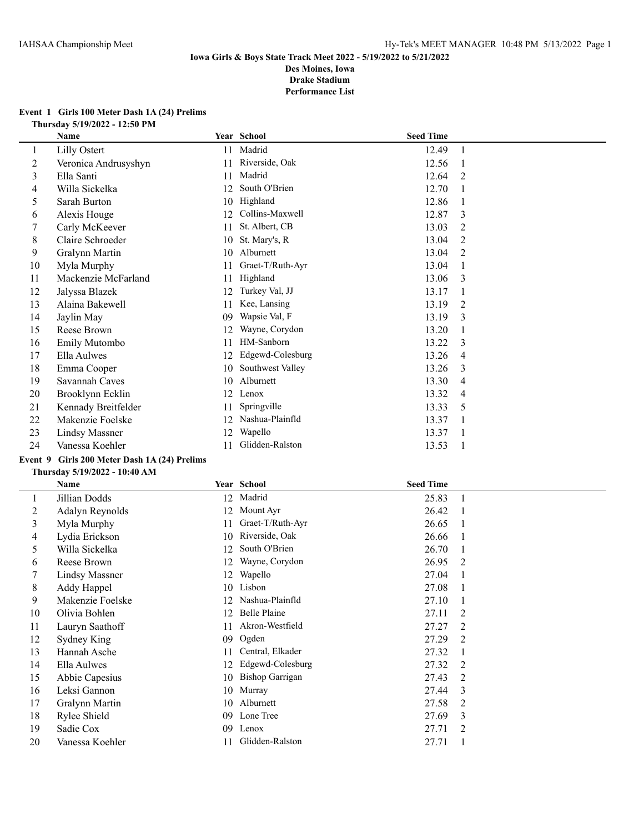#### **Event 1 Girls 100 Meter Dash 1A (24) Prelims Thursday 5/19/2022 - 12:50 PM**

| Name                  |    |                  |                                   |                  |
|-----------------------|----|------------------|-----------------------------------|------------------|
| Lilly Ostert          | 11 |                  | 12.49                             | -1               |
| Veronica Andrusyshyn  | 11 | Riverside, Oak   | 12.56                             |                  |
| Ella Santi            | 11 | Madrid           | 12.64                             | 2                |
| Willa Sickelka        | 12 | South O'Brien    | 12.70                             |                  |
| Sarah Burton          | 10 |                  | 12.86                             |                  |
| Alexis Houge          | 12 | Collins-Maxwell  | 12.87                             | 3                |
| Carly McKeever        | 11 | St. Albert, CB   | 13.03                             | 2                |
| Claire Schroeder      | 10 | St. Mary's, R    | 13.04                             | 2                |
| Gralynn Martin        | 10 | Alburnett        | 13.04                             | 2                |
| Myla Murphy           | 11 | Graet-T/Ruth-Ayr | 13.04                             |                  |
| Mackenzie McFarland   | 11 | Highland         | 13.06                             | 3                |
| Jalyssa Blazek        | 12 | Turkey Val, JJ   | 13.17                             |                  |
| Alaina Bakewell       | 11 | Kee, Lansing     | 13.19                             | 2                |
| Jaylin May            | 09 | Wapsie Val, F    | 13.19                             | 3                |
| Reese Brown           | 12 | Wayne, Corydon   | 13.20                             |                  |
| Emily Mutombo         | 11 | HM-Sanborn       | 13.22                             | 3                |
| Ella Aulwes           | 12 | Edgewd-Colesburg | 13.26                             | 4                |
| Emma Cooper           | 10 | Southwest Valley | 13.26                             | 3                |
| Savannah Caves        | 10 | Alburnett        | 13.30                             | 4                |
| Brooklynn Ecklin      | 12 | Lenox            | 13.32                             | 4                |
| Kennady Breitfelder   | 11 | Springville      | 13.33                             | 5                |
| Makenzie Foelske      | 12 | Nashua-Plainfld  | 13.37                             |                  |
| <b>Lindsy Massner</b> | 12 | Wapello          | 13.37                             |                  |
| Vanessa Koehler       | 11 | Glidden-Ralston  | 13.53                             |                  |
|                       |    |                  | Year School<br>Madrid<br>Highland | <b>Seed Time</b> |

# **Event 9 Girls 200 Meter Dash 1A (24) Prelims**

|    | Name                  |    | Year School            | <b>Seed Time</b> |                |
|----|-----------------------|----|------------------------|------------------|----------------|
|    | Jillian Dodds         | 12 | Madrid                 | 25.83            |                |
| 2  | Adalyn Reynolds       | 12 | Mount Ayr              | 26.42            |                |
| 3  | Myla Murphy           | 11 | Graet-T/Ruth-Ayr       | 26.65            |                |
| 4  | Lydia Erickson        | 10 | Riverside, Oak         | 26.66            |                |
| 5  | Willa Sickelka        | 12 | South O'Brien          | 26.70            |                |
| 6  | Reese Brown           | 12 | Wayne, Corydon         | 26.95            | 2              |
| 7  | <b>Lindsy Massner</b> | 12 | Wapello                | 27.04            |                |
| 8  | Addy Happel           | 10 | Lisbon                 | 27.08            |                |
| 9  | Makenzie Foelske      | 12 | Nashua-Plainfld        | 27.10            |                |
| 10 | Olivia Bohlen         | 12 | Belle Plaine           | 27.11            | 2              |
| 11 | Lauryn Saathoff       | 11 | Akron-Westfield        | 27.27            | 2              |
| 12 | Sydney King           | 09 | Ogden                  | 27.29            | $\overline{2}$ |
| 13 | Hannah Asche          | 11 | Central, Elkader       | 27.32            |                |
| 14 | Ella Aulwes           | 12 | Edgewd-Colesburg       | 27.32            | 2              |
| 15 | Abbie Capesius        | 10 | <b>Bishop Garrigan</b> | 27.43            | 2              |
| 16 | Leksi Gannon          | 10 | Murray                 | 27.44            | 3              |
| 17 | Gralynn Martin        | 10 | Alburnett              | 27.58            | $\overline{2}$ |
| 18 | Rylee Shield          | 09 | Lone Tree              | 27.69            | 3              |
| 19 | Sadie Cox             | 09 | Lenox                  | 27.71            | 2              |
| 20 | Vanessa Koehler       | 11 | Glidden-Ralston        | 27.71            |                |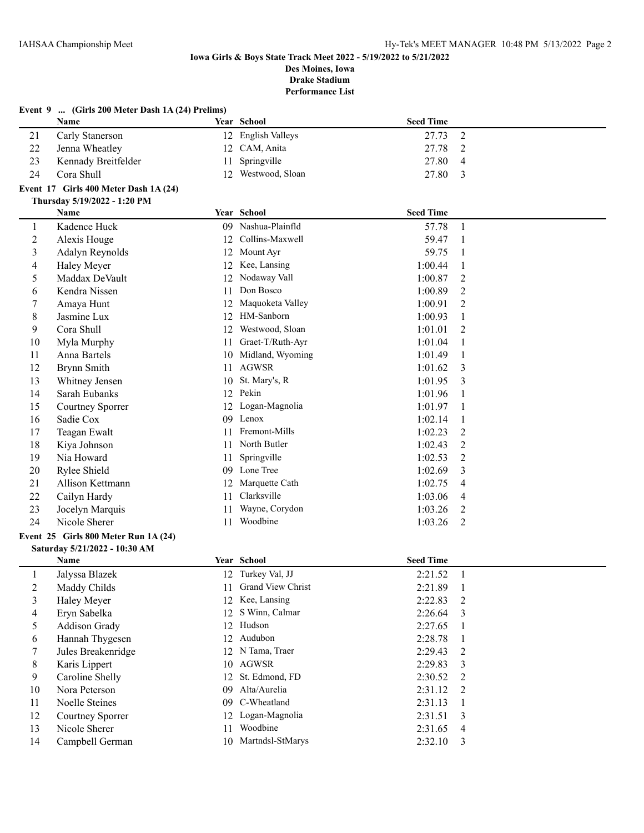|                | Event 9  (Girls 200 Meter Dash 1A (24) Prelims) |    |                        |                  |                |
|----------------|-------------------------------------------------|----|------------------------|------------------|----------------|
|                | Name                                            |    | Year School            | <b>Seed Time</b> |                |
| 21             | Carly Stanerson                                 | 12 | <b>English Valleys</b> | 27.73            | $\overline{2}$ |
| 22             | Jenna Wheatley                                  | 12 | CAM, Anita             | 27.78            | 2              |
| 23             | Kennady Breitfelder                             | 11 | Springville            | 27.80            | 4              |
| 24             | Cora Shull                                      | 12 | Westwood, Sloan        | 27.80            | 3              |
|                | Event 17 Girls 400 Meter Dash 1A (24)           |    |                        |                  |                |
|                | Thursday 5/19/2022 - 1:20 PM                    |    |                        |                  |                |
|                | Name                                            |    | Year School            | <b>Seed Time</b> |                |
| 1              | Kadence Huck                                    |    | 09 Nashua-Plainfld     | 57.78            | 1              |
| $\overline{c}$ | Alexis Houge                                    | 12 | Collins-Maxwell        | 59.47            | 1              |
| 3              | Adalyn Reynolds                                 | 12 | Mount Ayr              | 59.75            | 1              |
| 4              | Haley Meyer                                     | 12 | Kee, Lansing           | 1:00.44          | 1              |
| 5              | Maddax DeVault                                  | 12 | Nodaway Vall           | 1:00.87          | 2              |
| 6              | Kendra Nissen                                   | 11 | Don Bosco              | 1:00.89          | 2              |
| 7              | Amaya Hunt                                      | 12 | Maquoketa Valley       | 1:00.91          | 2              |
| 8              | Jasmine Lux                                     | 12 | HM-Sanborn             | 1:00.93          | 1              |
| 9              | Cora Shull                                      | 12 | Westwood, Sloan        | 1:01.01          | 2              |
| 10             | Myla Murphy                                     | 11 | Graet-T/Ruth-Ayr       | 1:01.04          | 1              |
| 11             | Anna Bartels                                    |    | 10 Midland, Wyoming    | 1:01.49          | 1              |
| 12             | Brynn Smith                                     | 11 | <b>AGWSR</b>           | 1:01.62          | 3              |
| 13             | Whitney Jensen                                  |    | 10 St. Mary's, R       | 1:01.95          | 3              |
| 14             | Sarah Eubanks                                   |    | 12 Pekin               | 1:01.96          | 1              |
| 15             | Courtney Sporrer                                |    | 12 Logan-Magnolia      | 1:01.97          | 1              |
| 16             | Sadie Cox                                       |    | 09 Lenox               | 1:02.14          | 1              |
| 17             | Teagan Ewalt                                    | 11 | Fremont-Mills          | 1:02.23          | 2              |
| 18             | Kiya Johnson                                    |    | 11 North Butler        | 1:02.43          | 2              |
| 19             | Nia Howard                                      | 11 | Springville            | 1:02.53          | 2              |
| 20             | Rylee Shield                                    |    | 09 Lone Tree           | 1:02.69          | 3              |
| 21             | Allison Kettmann                                | 12 | Marquette Cath         | 1:02.75          | 4              |
| 22             | Cailyn Hardy                                    | 11 | Clarksville            | 1:03.06          | 4              |
| 23             | Jocelyn Marquis                                 | 11 | Wayne, Corydon         | 1:03.26          | 2              |
| 24             | Nicole Sherer                                   | 11 | Woodbine               | 1:03.26          | 2              |
|                | Event 25 Girls 800 Meter Run 1A (24)            |    |                        |                  |                |
|                | Saturday 5/21/2022 - 10:30 AM                   |    |                        |                  |                |
|                | Name                                            |    | Year School            | <b>Seed Time</b> |                |
|                | Jalyssa Blazek                                  |    | 12 Turkey Val, JJ      | 2:21.52          | 1              |
| 2              | Maddy Childs                                    | 11 | Grand View Christ      | 2:21.89          | $\mathbf{1}$   |
| 3              | Haley Meyer                                     | 12 | Kee, Lansing           | 2:22.83          | 2              |
| 4              | Eryn Sabelka                                    | 12 | S Winn, Calmar         | 2:26.64          | 3              |
| 5              | Addison Grady                                   |    | 12 Hudson              | 2:27.65          | 1              |
| 6              | Hannah Thygesen                                 |    | 12 Audubon             | 2:28.78          | 1              |
| 7              | Jules Breakenridge                              |    | 12 N Tama, Traer       | 2:29.43          | 2              |
| 8              | Karis Lippert                                   |    | 10 AGWSR               | 2:29.83          | 3              |

 Caroline Shelly 12 St. Edmond, FD 2:30.52 2 Nora Peterson 09 Alta/Aurelia 2:31.12 2 Noelle Steines 09 C-Wheatland 2:31.13 1 Courtney Sporrer 12 Logan-Magnolia 2:31.51 3 13 Nicole Sherer 11 Woodbine 2:31.65 4 Campbell German 10 Martndsl-StMarys 2:32.10 3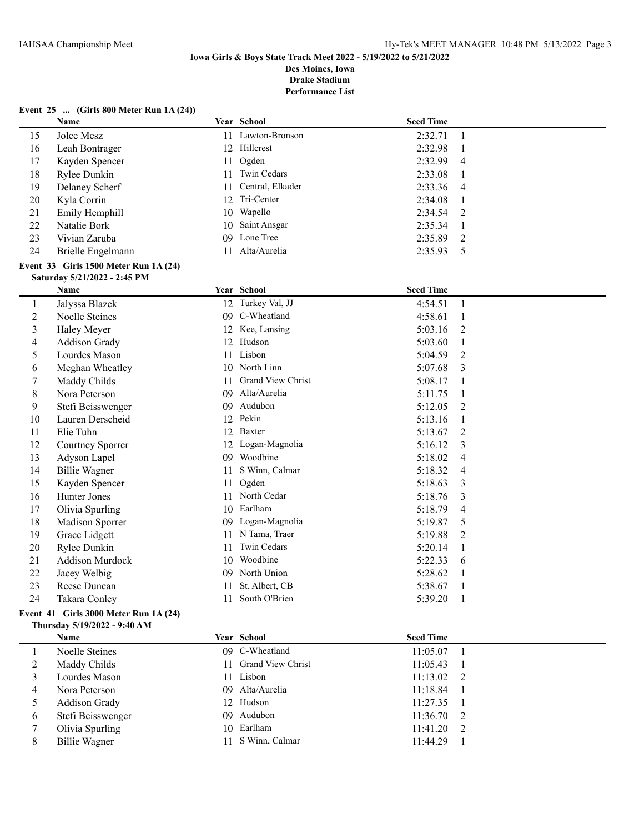**Performance List**

# **Event 25 ... (Girls 800 Meter Run 1A (24))**

|                | <b>Name</b>                           |    | <b>Year School</b> | <b>Seed Time</b> |                |
|----------------|---------------------------------------|----|--------------------|------------------|----------------|
| 15             | Jolee Mesz                            |    | 11 Lawton-Bronson  | 2:32.71          | $\mathbf{1}$   |
| 16             | Leah Bontrager                        |    | 12 Hillcrest       | 2:32.98          | 1              |
| 17             | Kayden Spencer                        | 11 | Ogden              | 2:32.99          | 4              |
| 18             | Rylee Dunkin                          | 11 | Twin Cedars        | 2:33.08          | $\mathbf{1}$   |
| 19             | Delaney Scherf                        | 11 | Central, Elkader   | 2:33.36          | 4              |
| 20             | Kyla Corrin                           |    | 12 Tri-Center      | 2:34.08          | $\mathbf{1}$   |
| 21             | Emily Hemphill                        | 10 | Wapello            | 2:34.54          | 2              |
| 22             | Natalie Bork                          | 10 | Saint Ansgar       | 2:35.34          | 1              |
| 23             | Vivian Zaruba                         | 09 | Lone Tree          | 2:35.89          | $\overline{2}$ |
| 24             | Brielle Engelmann                     |    | 11 Alta/Aurelia    | 2:35.93          | 5              |
|                | Event 33 Girls 1500 Meter Run 1A (24) |    |                    |                  |                |
|                | Saturday 5/21/2022 - 2:45 PM          |    |                    |                  |                |
|                | Name                                  |    | Year School        | <b>Seed Time</b> |                |
| $\mathbf{1}$   | Jalyssa Blazek                        |    | 12 Turkey Val, JJ  | 4:54.51          | $\mathbf{1}$   |
| $\overline{c}$ | Noelle Steines                        |    | 09 C-Wheatland     | 4:58.61          | 1              |
| 3              | Haley Meyer                           |    | 12 Kee, Lansing    | 5:03.16          | 2              |
| 4              | Addison Grady                         |    | 12 Hudson          | 5:03.60          | 1              |
| 5              | Lourdes Mason                         | 11 | Lisbon             | 5:04.59          | 2              |
| 6              | Meghan Wheatley                       | 10 | North Linn         | 5:07.68          | 3              |
| 7              | Maddy Childs                          | 11 | Grand View Christ  | 5:08.17          | 1              |
| 8              | Nora Peterson                         | 09 | Alta/Aurelia       | 5:11.75          | 1              |
| 9              | Stefi Beisswenger                     | 09 | Audubon            | 5:12.05          | 2              |
| 10             | Lauren Derscheid                      |    | 12 Pekin           | 5:13.16          | $\mathbf{1}$   |
| 11             | Elie Tuhn                             | 12 | Baxter             | 5:13.67          | 2              |
| 12             | Courtney Sporrer                      |    | 12 Logan-Magnolia  | 5:16.12          | 3              |
| 13             | Adyson Lapel                          |    | 09 Woodbine        | 5:18.02          | 4              |
| 14             | <b>Billie Wagner</b>                  | 11 | S Winn, Calmar     | 5:18.32          | 4              |
| 15             | Kayden Spencer                        | 11 | Ogden              | 5:18.63          | 3              |
| 16             | Hunter Jones                          | 11 | North Cedar        | 5:18.76          | 3              |
| 17             | Olivia Spurling                       | 10 | Earlham            | 5:18.79          | 4              |
| 18             | Madison Sporrer                       | 09 | Logan-Magnolia     | 5:19.87          | 5              |
| 19             | Grace Lidgett                         |    | 11 N Tama, Traer   | 5:19.88          | 2              |
| 20             | Rylee Dunkin                          | 11 | Twin Cedars        | 5:20.14          | 1              |
| 21             | <b>Addison Murdock</b>                | 10 | Woodbine           | 5:22.33          | 6              |
| 22             | Jacey Welbig                          |    | 09 North Union     | 5:28.62          | $\mathbf{1}$   |
| 23             | Reese Duncan                          | 11 | St. Albert, CB     | 5:38.67          | 1              |
| 24             | Takara Conley                         | 11 | South O'Brien      | 5:39.20          | $\mathbf{1}$   |
|                |                                       |    |                    |                  |                |

# **Event 41 Girls 3000 Meter Run 1A (24) Thursday 5/19/2022 - 9:40 AM**

|   | <b>Name</b>          | Year School          | <b>Seed Time</b> |  |
|---|----------------------|----------------------|------------------|--|
|   | Noelle Steines       | 09 C-Wheatland       | $11:05.07$ 1     |  |
|   | Maddy Childs         | 11 Grand View Christ | 11:05.43         |  |
|   | Lourdes Mason        | 11 Lisbon            | $11:13.02$ 2     |  |
| 4 | Nora Peterson        | 09 Alta/Aurelia      | 11:18.84         |  |
|   | <b>Addison Grady</b> | 12 Hudson            | 11:27.35         |  |
| 6 | Stefi Beisswenger    | 09 Audubon           | $11:36.70$ 2     |  |
|   | Olivia Spurling      | 10 Earlham           | $11:41.20$ 2     |  |
| 8 | Billie Wagner        | S Winn, Calmar       | 11:44.29         |  |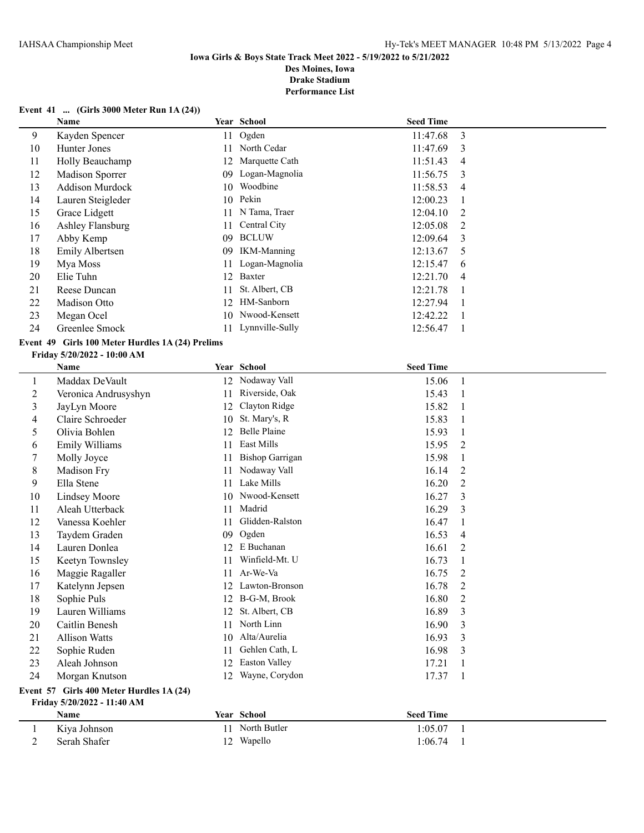**Performance List**

# **Event 41 ... (Girls 3000 Meter Run 1A (24))**

|    | Name                   |    | Year School        | <b>Seed Time</b> |                |
|----|------------------------|----|--------------------|------------------|----------------|
| 9  | Kayden Spencer         | 11 | Ogden              | 11:47.68         | 3              |
| 10 | Hunter Jones           | 11 | North Cedar        | 11:47.69         | 3              |
| 11 | Holly Beauchamp        | 12 | Marquette Cath     | 11:51.43         | 4              |
| 12 | Madison Sporrer        | 09 | Logan-Magnolia     | 11:56.75         | -3             |
| 13 | <b>Addison Murdock</b> | 10 | Woodbine           | 11:58.53         | $\overline{4}$ |
| 14 | Lauren Steigleder      | 10 | Pekin              | 12:00.23         |                |
| 15 | Grace Lidgett          | 11 | N Tama, Traer      | 12:04.10         | 2              |
| 16 | Ashley Flansburg       | 11 | Central City       | 12:05.08         | $\mathcal{L}$  |
| 17 | Abby Kemp              | 09 | <b>BCLUW</b>       | 12:09.64         | 3              |
| 18 | Emily Albertsen        | 09 | <b>IKM-Manning</b> | 12:13.67         | 5              |
| 19 | Mya Moss               | 11 | Logan-Magnolia     | 12:15.47         | 6              |
| 20 | Elie Tuhn              | 12 | Baxter             | 12:21.70         | 4              |
| 21 | Reese Duncan           | 11 | St. Albert, CB     | 12:21.78         |                |
| 22 | Madison Otto           | 12 | HM-Sanborn         | 12:27.94         |                |
| 23 | Megan Ocel             | 10 | Nwood-Kensett      | 12:42.22         |                |
| 24 | Greenlee Smock         |    | 11 Lynnville-Sully | 12:56.47         |                |

# **Event 49 Girls 100 Meter Hurdles 1A (24) Prelims**

#### **Friday 5/20/2022 - 10:00 AM**

|              | Name                                     |    | Year School            | <b>Seed Time</b> |                |  |  |  |
|--------------|------------------------------------------|----|------------------------|------------------|----------------|--|--|--|
| $\mathbf{I}$ | Maddax DeVault                           | 12 | Nodaway Vall           | 15.06            |                |  |  |  |
| 2            | Veronica Andrusyshyn                     | 11 | Riverside, Oak         | 15.43            |                |  |  |  |
| 3            | JayLyn Moore                             | 12 | Clayton Ridge          | 15.82            | 1              |  |  |  |
| 4            | Claire Schroeder                         | 10 | St. Mary's, R          | 15.83            | 1              |  |  |  |
| 5            | Olivia Bohlen                            | 12 | <b>Belle Plaine</b>    | 15.93            |                |  |  |  |
| 6            | Emily Williams                           | 11 | East Mills             | 15.95            | $\overline{2}$ |  |  |  |
| 7            | Molly Joyce                              | 11 | <b>Bishop Garrigan</b> | 15.98            | 1              |  |  |  |
| 8            | Madison Fry                              | 11 | Nodaway Vall           | 16.14            | 2              |  |  |  |
| 9            | Ella Stene                               | 11 | Lake Mills             | 16.20            | 2              |  |  |  |
| 10           | <b>Lindsey Moore</b>                     | 10 | Nwood-Kensett          | 16.27            | 3              |  |  |  |
| 11           | Aleah Utterback                          | 11 | Madrid                 | 16.29            | 3              |  |  |  |
| 12           | Vanessa Koehler                          | 11 | Glidden-Ralston        | 16.47            | 1              |  |  |  |
| 13           | Taydem Graden                            | 09 | Ogden                  | 16.53            | $\overline{4}$ |  |  |  |
| 14           | Lauren Donlea                            | 12 | E Buchanan             | 16.61            | 2              |  |  |  |
| 15           | Keetyn Townsley                          | 11 | Winfield-Mt. U         | 16.73            | 1              |  |  |  |
| 16           | Maggie Ragaller                          | 11 | Ar-We-Va               | 16.75            | 2              |  |  |  |
| 17           | Katelynn Jepsen                          | 12 | Lawton-Bronson         | 16.78            | 2              |  |  |  |
| 18           | Sophie Puls                              | 12 | B-G-M, Brook           | 16.80            | 2              |  |  |  |
| 19           | Lauren Williams                          | 12 | St. Albert, CB         | 16.89            | 3              |  |  |  |
| 20           | Caitlin Benesh                           | 11 | North Linn             | 16.90            | 3              |  |  |  |
| 21           | <b>Allison Watts</b>                     | 10 | Alta/Aurelia           | 16.93            | 3              |  |  |  |
| 22           | Sophie Ruden                             | 11 | Gehlen Cath, L         | 16.98            | 3              |  |  |  |
| 23           | Aleah Johnson                            | 12 | Easton Valley          | 17.21            | 1              |  |  |  |
| 24           | Morgan Knutson                           | 12 | Wayne, Corydon         | 17.37            | $\mathbf{1}$   |  |  |  |
|              | Event 57 Girls 400 Meter Hurdles 1A (24) |    |                        |                  |                |  |  |  |

# **Friday 5/20/2022 - 11:40 AM**

| Name         |            | Year School  | <b>Seed Time</b> |  |
|--------------|------------|--------------|------------------|--|
| Kiya Johnson |            | North Butler | 1:05.07          |  |
| Serah Shafer | $\sqrt{2}$ | Wapello      | 1:06.74          |  |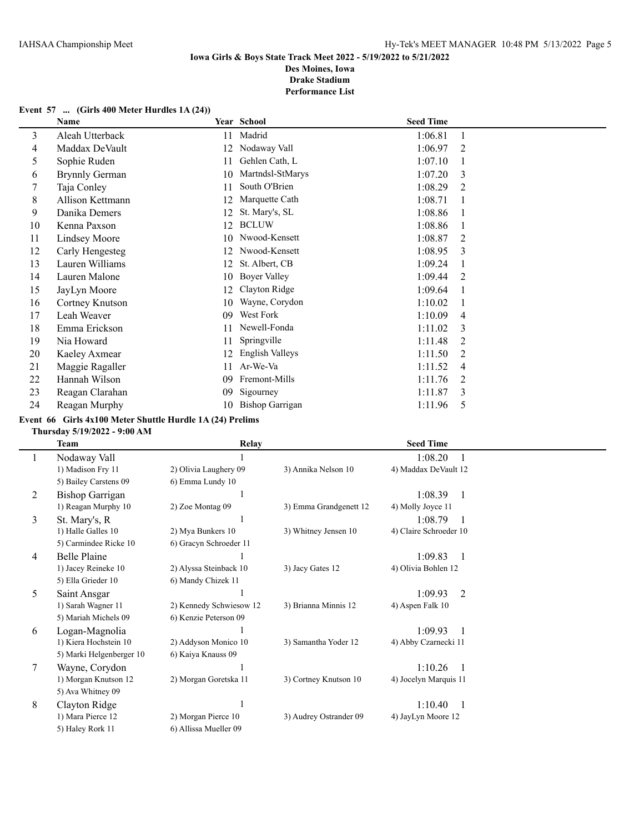# **Event 57 ... (Girls 400 Meter Hurdles 1A (24))**

|                                                                                          | Madrid                                                                                                                                                                                                                | 1:06.81 |                |
|------------------------------------------------------------------------------------------|-----------------------------------------------------------------------------------------------------------------------------------------------------------------------------------------------------------------------|---------|----------------|
| 12                                                                                       | Nodaway Vall                                                                                                                                                                                                          | 1:06.97 | 2              |
| 11                                                                                       | Gehlen Cath, L                                                                                                                                                                                                        | 1:07.10 |                |
| 10                                                                                       | Martndsl-StMarys                                                                                                                                                                                                      | 1:07.20 | 3              |
| 11                                                                                       | South O'Brien                                                                                                                                                                                                         | 1:08.29 | $\overline{2}$ |
| 12                                                                                       | Marquette Cath                                                                                                                                                                                                        | 1:08.71 |                |
| 12                                                                                       | St. Mary's, SL                                                                                                                                                                                                        | 1:08.86 |                |
| 12                                                                                       | <b>BCLUW</b>                                                                                                                                                                                                          | 1:08.86 |                |
| 10                                                                                       | Nwood-Kensett                                                                                                                                                                                                         | 1:08.87 | 2              |
| 12                                                                                       | Nwood-Kensett                                                                                                                                                                                                         | 1:08.95 | 3              |
| 12                                                                                       | St. Albert, CB                                                                                                                                                                                                        | 1:09.24 |                |
| 10                                                                                       | Boyer Valley                                                                                                                                                                                                          | 1:09.44 | $\overline{2}$ |
| 12                                                                                       | Clayton Ridge                                                                                                                                                                                                         | 1:09.64 |                |
| 10                                                                                       | Wayne, Corydon                                                                                                                                                                                                        | 1:10.02 |                |
| 09                                                                                       | West Fork                                                                                                                                                                                                             | 1:10.09 | $\overline{4}$ |
| 11                                                                                       | Newell-Fonda                                                                                                                                                                                                          | 1:11.02 | 3              |
| 11                                                                                       | Springville                                                                                                                                                                                                           | 1:11.48 | 2              |
| 12                                                                                       | English Valleys                                                                                                                                                                                                       | 1:11.50 | 2              |
| 11                                                                                       | Ar-We-Va                                                                                                                                                                                                              | 1:11.52 | 4              |
| 09                                                                                       | Fremont-Mills                                                                                                                                                                                                         | 1:11.76 | 2              |
| 09                                                                                       | Sigourney                                                                                                                                                                                                             | 1:11.87 | 3              |
| 10                                                                                       | <b>Bishop Garrigan</b>                                                                                                                                                                                                | 1:11.96 | 5              |
| Danika Demers<br><b>Lindsey Moore</b><br>Lauren Malone<br>Kaeley Axmear<br>Hannah Wilson | Aleah Utterback<br>11<br>Maddax DeVault<br><b>Brynnly German</b><br>Allison Kettmann<br>Carly Hengesteg<br>Lauren Williams<br>Cortney Knutson<br>Emma Erickson<br>Maggie Ragaller<br>Reagan Clarahan<br>Reagan Murphy |         |                |

# **Event 66 Girls 4x100 Meter Shuttle Hurdle 1A (24) Prelims**

# **Thursday 5/19/2022 - 9:00 AM**

|   | Team                     | <b>Relay</b>            |                        | <b>Seed Time</b>       |
|---|--------------------------|-------------------------|------------------------|------------------------|
| 1 | Nodaway Vall             |                         |                        | 1:08.20                |
|   | 1) Madison Fry 11        | 2) Olivia Laughery 09   | 3) Annika Nelson 10    | 4) Maddax DeVault 12   |
|   | 5) Bailey Carstens 09    | 6) Emma Lundy 10        |                        |                        |
| 2 | Bishop Garrigan          |                         |                        | 1:08.39                |
|   | 1) Reagan Murphy 10      | 2) Zoe Montag 09        | 3) Emma Grandgenett 12 | 4) Molly Joyce 11      |
| 3 | St. Mary's, R            |                         |                        | 1:08.79                |
|   | 1) Halle Galles 10       | 2) Mya Bunkers 10       | 3) Whitney Jensen 10   | 4) Claire Schroeder 10 |
|   | 5) Carmindee Ricke 10    | 6) Gracyn Schroeder 11  |                        |                        |
| 4 | Belle Plaine             |                         |                        | 1:09.83                |
|   | 1) Jacey Reineke 10      | 2) Alyssa Steinback 10  | 3) Jacy Gates 12       | 4) Olivia Bohlen 12    |
|   | 5) Ella Grieder 10       | 6) Mandy Chizek 11      |                        |                        |
| 5 | Saint Ansgar             |                         |                        | 1:09.93<br>2           |
|   | 1) Sarah Wagner 11       | 2) Kennedy Schwiesow 12 | 3) Brianna Minnis 12   | 4) Aspen Falk 10       |
|   | 5) Mariah Michels 09     | 6) Kenzie Peterson 09   |                        |                        |
| 6 | Logan-Magnolia           |                         |                        | 1:09.93                |
|   | 1) Kiera Hochstein 10    | 2) Addyson Monico 10    | 3) Samantha Yoder 12   | 4) Abby Czarnecki 11   |
|   | 5) Marki Helgenberger 10 | 6) Kaiya Knauss 09      |                        |                        |
| 7 | Wayne, Corydon           |                         |                        | 1:10.26                |
|   | 1) Morgan Knutson 12     | 2) Morgan Goretska 11   | 3) Cortney Knutson 10  | 4) Jocelyn Marquis 11  |
|   | 5) Ava Whitney 09        |                         |                        |                        |
| 8 | Clayton Ridge            |                         |                        | 1:10.40                |
|   | 1) Mara Pierce 12        | 2) Morgan Pierce 10     | 3) Audrey Ostrander 09 | 4) JayLyn Moore 12     |
|   | 5) Haley Rork 11         | 6) Allissa Mueller 09   |                        |                        |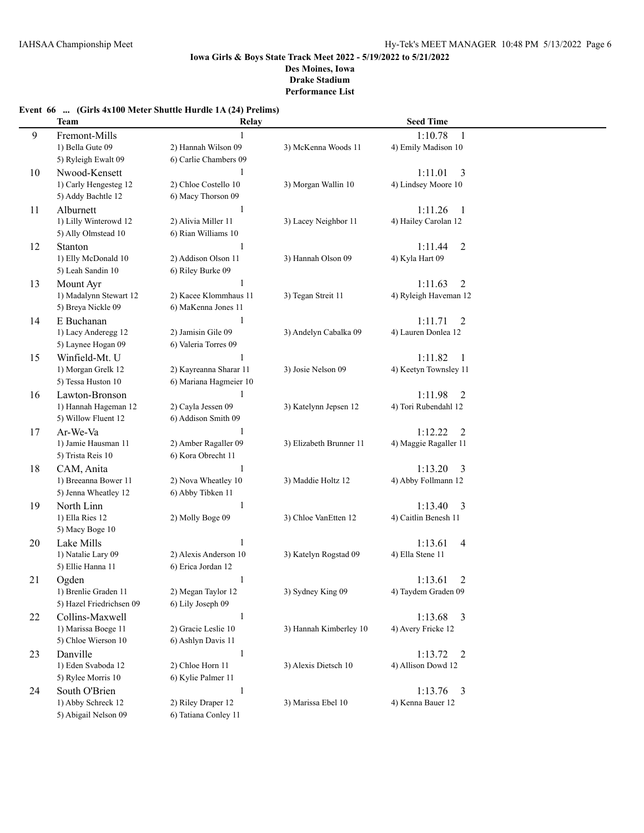# **Event 66 ... (Girls 4x100 Meter Shuttle Hurdle 1A (24) Prelims)**

|    | <b>Team</b>              | Relay                  |                         | <b>Seed Time</b>          |  |
|----|--------------------------|------------------------|-------------------------|---------------------------|--|
| 9  | Fremont-Mills            |                        |                         | 1:10.78<br>1              |  |
|    | 1) Bella Gute 09         | 2) Hannah Wilson 09    | 3) McKenna Woods 11     | 4) Emily Madison 10       |  |
|    | 5) Ryleigh Ewalt 09      | 6) Carlie Chambers 09  |                         |                           |  |
| 10 | Nwood-Kensett            | 1                      |                         | 1:11.01<br>3              |  |
|    | 1) Carly Hengesteg 12    | 2) Chloe Costello 10   | 3) Morgan Wallin 10     | 4) Lindsey Moore 10       |  |
|    | 5) Addy Bachtle 12       | 6) Macy Thorson 09     |                         |                           |  |
| 11 | Alburnett                | $\mathbf{1}$           |                         | 1:11.26<br>-1             |  |
|    | 1) Lilly Winterowd 12    | 2) Alivia Miller 11    | 3) Lacey Neighbor 11    | 4) Hailey Carolan 12      |  |
|    | 5) Ally Olmstead 10      | 6) Rian Williams 10    |                         |                           |  |
| 12 | Stanton                  | 1                      |                         | 1:11.44<br>2              |  |
|    | 1) Elly McDonald 10      | 2) Addison Olson 11    | 3) Hannah Olson 09      | 4) Kyla Hart 09           |  |
|    | 5) Leah Sandin 10        | 6) Riley Burke 09      |                         |                           |  |
| 13 | Mount Ayr                |                        |                         | 1:11.63<br>$\overline{2}$ |  |
|    | 1) Madalynn Stewart 12   | 2) Kacee Klommhaus 11  | 3) Tegan Streit 11      | 4) Ryleigh Haveman 12     |  |
|    | 5) Breya Nickle 09       | 6) MaKenna Jones 11    |                         |                           |  |
| 14 | E Buchanan               | 1                      |                         | 1:11.71<br>2              |  |
|    | 1) Lacy Anderegg 12      | 2) Jamisin Gile 09     | 3) Andelyn Cabalka 09   | 4) Lauren Donlea 12       |  |
|    | 5) Laynee Hogan 09       | 6) Valeria Torres 09   |                         |                           |  |
| 15 | Winfield-Mt. U           |                        |                         | 1:11.82<br>-1             |  |
|    | 1) Morgan Grelk 12       | 2) Kayreanna Sharar 11 | 3) Josie Nelson 09      | 4) Keetyn Townsley 11     |  |
|    | 5) Tessa Huston 10       | 6) Mariana Hagmeier 10 |                         |                           |  |
| 16 | Lawton-Bronson           | 1                      |                         | 1:11.98<br>2              |  |
|    | 1) Hannah Hageman 12     | 2) Cayla Jessen 09     | 3) Katelynn Jepsen 12   | 4) Tori Rubendahl 12      |  |
|    | 5) Willow Fluent 12      | 6) Addison Smith 09    |                         |                           |  |
| 17 | Ar-We-Va                 | 1                      |                         | 1:12.22<br>2              |  |
|    | 1) Jamie Hausman 11      | 2) Amber Ragaller 09   | 3) Elizabeth Brunner 11 | 4) Maggie Ragaller 11     |  |
|    | 5) Trista Reis 10        | 6) Kora Obrecht 11     |                         |                           |  |
| 18 | CAM, Anita               | $\mathbf{1}$           |                         | 1:13.20<br>3              |  |
|    | 1) Breeanna Bower 11     | 2) Nova Wheatley 10    | 3) Maddie Holtz 12      | 4) Abby Follmann 12       |  |
|    | 5) Jenna Wheatley 12     | 6) Abby Tibken 11      |                         |                           |  |
| 19 | North Linn               | $\mathbf{1}$           |                         | 1:13.40<br>3              |  |
|    | 1) Ella Ries 12          | 2) Molly Boge 09       | 3) Chloe VanEtten 12    | 4) Caitlin Benesh 11      |  |
|    | 5) Macy Boge 10          |                        |                         |                           |  |
| 20 | Lake Mills               | $\mathbf{1}$           |                         | 1:13.61<br>4              |  |
|    | 1) Natalie Lary 09       | 2) Alexis Anderson 10  | 3) Katelyn Rogstad 09   | 4) Ella Stene 11          |  |
|    | 5) Ellie Hanna 11        | 6) Erica Jordan 12     |                         |                           |  |
| 21 | Ogden                    | 1                      |                         | 1:13.61<br>2              |  |
|    | 1) Brenlie Graden 11     | 2) Megan Taylor 12     | 3) Sydney King 09       | 4) Taydem Graden 09       |  |
|    | 5) Hazel Friedrichsen 09 | 6) Lily Joseph 09      |                         |                           |  |
| 22 | Collins-Maxwell          | $\mathbf{1}$           |                         | 1:13.68<br>$\overline{3}$ |  |
|    | 1) Marissa Boege 11      | 2) Gracie Leslie 10    | 3) Hannah Kimberley 10  | 4) Avery Fricke 12        |  |
|    | 5) Chloe Wierson 10      | 6) Ashlyn Davis 11     |                         |                           |  |
| 23 | Danville                 | $\mathbf{1}$           |                         | 1:13.72<br>2              |  |
|    | 1) Eden Svaboda 12       | 2) Chloe Horn 11       | 3) Alexis Dietsch 10    | 4) Allison Dowd 12        |  |
|    | 5) Rylee Morris 10       | 6) Kylie Palmer 11     |                         |                           |  |
| 24 | South O'Brien            | $\mathbf{1}$           |                         | 1:13.76<br>$\overline{3}$ |  |
|    | 1) Abby Schreck 12       | 2) Riley Draper 12     | 3) Marissa Ebel 10      | 4) Kenna Bauer 12         |  |
|    | 5) Abigail Nelson 09     | 6) Tatiana Conley 11   |                         |                           |  |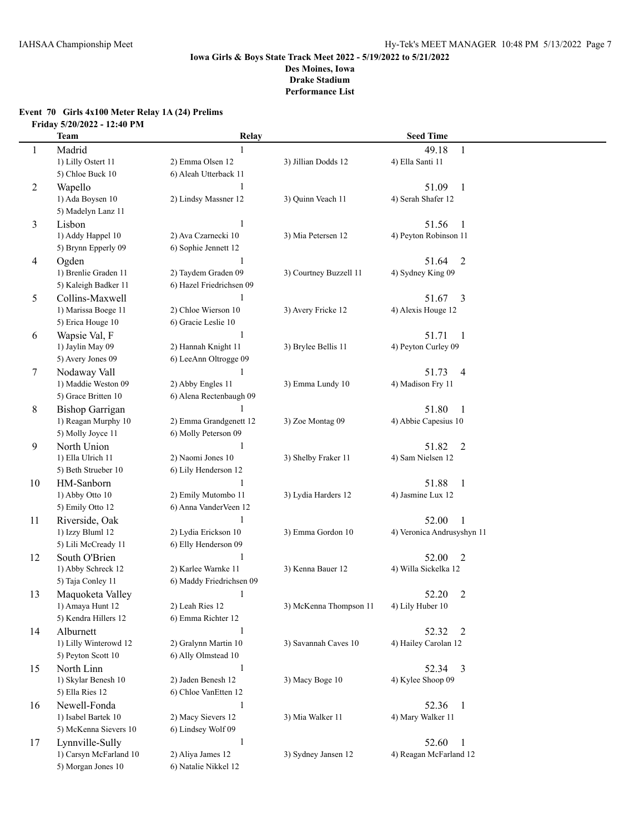# **Event 70 Girls 4x100 Meter Relay 1A (24) Prelims Friday 5/20/2022 - 12:40 PM**

|                | Team                   | Relay                    |                        | <b>Seed Time</b>           |
|----------------|------------------------|--------------------------|------------------------|----------------------------|
| 1              | Madrid                 | 1                        |                        | 49.18<br>1                 |
|                | 1) Lilly Ostert 11     | 2) Emma Olsen 12         | 3) Jillian Dodds 12    | 4) Ella Santi 11           |
|                | 5) Chloe Buck 10       | 6) Aleah Utterback 11    |                        |                            |
| 2              | Wapello                | 1                        |                        | 51.09<br>$\mathbf{1}$      |
|                | 1) Ada Boysen 10       | 2) Lindsy Massner 12     | 3) Quinn Veach 11      | 4) Serah Shafer 12         |
|                | 5) Madelyn Lanz 11     |                          |                        |                            |
| 3              | Lisbon                 | 1                        |                        | 51.56<br>1                 |
|                | 1) Addy Happel 10      | 2) Ava Czarnecki 10      | 3) Mia Petersen 12     | 4) Peyton Robinson 11      |
|                | 5) Brynn Epperly 09    | 6) Sophie Jennett 12     |                        |                            |
| $\overline{4}$ | Ogden                  | $\mathbf{1}$             |                        | $\overline{2}$<br>51.64    |
|                | 1) Brenlie Graden 11   | 2) Taydem Graden 09      | 3) Courtney Buzzell 11 | 4) Sydney King 09          |
|                | 5) Kaleigh Badker 11   | 6) Hazel Friedrichsen 09 |                        |                            |
| 5              | Collins-Maxwell        | 1                        |                        | $\overline{3}$<br>51.67    |
|                | 1) Marissa Boege 11    | 2) Chloe Wierson 10      | 3) Avery Fricke 12     | 4) Alexis Houge 12         |
|                | 5) Erica Houge 10      | 6) Gracie Leslie 10      |                        |                            |
| 6              | Wapsie Val, F          | -1                       |                        | 51.71<br>$\mathbf{1}$      |
|                | 1) Jaylin May 09       | 2) Hannah Knight 11      | 3) Brylee Bellis 11    | 4) Peyton Curley 09        |
|                | 5) Avery Jones 09      | 6) LeeAnn Oltrogge 09    |                        |                            |
| 7              | Nodaway Vall           |                          |                        | 51.73<br>4                 |
|                | 1) Maddie Weston 09    | 2) Abby Engles 11        | 3) Emma Lundy 10       | 4) Madison Fry 11          |
|                | 5) Grace Britten 10    | 6) Alena Rectenbaugh 09  |                        |                            |
| 8              | <b>Bishop Garrigan</b> |                          |                        | 51.80<br>$\mathbf{1}$      |
|                | 1) Reagan Murphy 10    | 2) Emma Grandgenett 12   | 3) Zoe Montag 09       | 4) Abbie Capesius 10       |
|                | 5) Molly Joyce 11      | 6) Molly Peterson 09     |                        |                            |
| 9              | North Union            | 1                        |                        | 51.82<br>2                 |
|                | 1) Ella Ulrich 11      | 2) Naomi Jones 10        | 3) Shelby Fraker 11    | 4) Sam Nielsen 12          |
|                | 5) Beth Strueber 10    | 6) Lily Henderson 12     |                        |                            |
| 10             | HM-Sanborn             | 1                        |                        | 51.88<br>$\mathbf{1}$      |
|                | 1) Abby Otto 10        | 2) Emily Mutombo 11      | 3) Lydia Harders 12    | 4) Jasmine Lux 12          |
|                | 5) Emily Otto 12       | 6) Anna VanderVeen 12    |                        |                            |
| 11             | Riverside, Oak         | 1                        |                        | 52.00<br>1                 |
|                | 1) Izzy Bluml 12       | 2) Lydia Erickson 10     | 3) Emma Gordon 10      | 4) Veronica Andrusyshyn 11 |
|                | 5) Lili McCready 11    | 6) Elly Henderson 09     |                        |                            |
| 12             | South O'Brien          | $\mathbf{1}$             |                        | 52.00<br>$\overline{2}$    |
|                | 1) Abby Schreck 12     | 2) Karlee Warnke 11      | 3) Kenna Bauer 12      | 4) Willa Sickelka 12       |
|                | 5) Taja Conley 11      | 6) Maddy Friedrichsen 09 |                        |                            |
| 13             | Maquoketa Valley       | 1                        |                        | 52.20<br>$\overline{c}$    |
|                | 1) Amaya Hunt 12       | 2) Leah Ries 12          | 3) McKenna Thompson 11 | 4) Lily Huber 10           |
|                | 5) Kendra Hillers 12   | 6) Emma Richter 12       |                        |                            |
| 14             | Alburnett              | $\mathbf{1}$             |                        | 52.32<br>2                 |
|                | 1) Lilly Winterowd 12  | 2) Gralynn Martin 10     | 3) Savannah Caves 10   | 4) Hailey Carolan 12       |
|                | 5) Peyton Scott 10     | 6) Ally Olmstead 10      |                        |                            |
| 15             | North Linn             | $\mathbf{1}$             |                        | 52.34 3                    |
|                | 1) Skylar Benesh 10    | 2) Jaden Benesh 12       | 3) Macy Boge 10        | 4) Kylee Shoop 09          |
|                | 5) Ella Ries 12        | 6) Chloe VanEtten 12     |                        |                            |
| 16             | Newell-Fonda           | $\mathbf{1}$             |                        | 52.36<br>$\mathbf{1}$      |
|                | 1) Isabel Bartek 10    | 2) Macy Sievers 12       | 3) Mia Walker 11       | 4) Mary Walker 11          |
|                | 5) McKenna Sievers 10  | 6) Lindsey Wolf 09       |                        |                            |
| 17             | Lynnville-Sully        | $\mathbf{1}$             |                        | 52.60<br>1                 |
|                | 1) Carsyn McFarland 10 | 2) Aliya James 12        | 3) Sydney Jansen 12    | 4) Reagan McFarland 12     |
|                | 5) Morgan Jones 10     | 6) Natalie Nikkel 12     |                        |                            |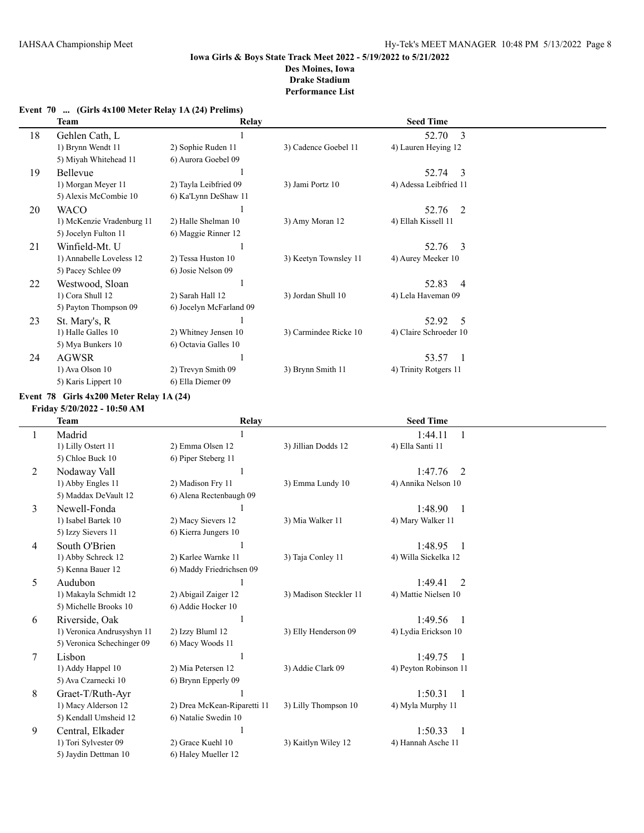|  | Event 70  (Girls 4x100 Meter Relay 1A (24) Prelims) |  |  |
|--|-----------------------------------------------------|--|--|
|--|-----------------------------------------------------|--|--|

|    | <b>Team</b>               | Relay                   |                       | <b>Seed Time</b>        |  |
|----|---------------------------|-------------------------|-----------------------|-------------------------|--|
| 18 | Gehlen Cath, L            |                         |                       | 52.70<br>3              |  |
|    | 1) Brynn Wendt 11         | 2) Sophie Ruden 11      | 3) Cadence Goebel 11  | 4) Lauren Heying 12     |  |
|    | 5) Miyah Whitehead 11     | 6) Aurora Goebel 09     |                       |                         |  |
| 19 | Bellevue                  |                         |                       | 52.74<br>-3             |  |
|    | 1) Morgan Meyer 11        | 2) Tayla Leibfried 09   | 3) Jami Portz 10      | 4) Adessa Leibfried 11  |  |
|    | 5) Alexis McCombie 10     | 6) Ka'Lynn DeShaw 11    |                       |                         |  |
| 20 | <b>WACO</b>               |                         |                       | 52.76<br>-2             |  |
|    | 1) McKenzie Vradenburg 11 | 2) Halle Shelman 10     | 3) Amy Moran 12       | 4) Ellah Kissell 11     |  |
|    | 5) Jocelyn Fulton 11      | 6) Maggie Rinner 12     |                       |                         |  |
| 21 | Winfield-Mt. U            |                         |                       | 52.76<br>-3             |  |
|    | 1) Annabelle Loveless 12  | 2) Tessa Huston 10      | 3) Keetyn Townsley 11 | 4) Aurey Meeker 10      |  |
|    | 5) Pacey Schlee 09        | 6) Josie Nelson 09      |                       |                         |  |
| 22 | Westwood, Sloan           |                         |                       | 52.83<br>$\overline{4}$ |  |
|    | 1) Cora Shull 12          | 2) Sarah Hall 12        | 3) Jordan Shull 10    | 4) Lela Haveman 09      |  |
|    | 5) Payton Thompson 09     | 6) Jocelyn McFarland 09 |                       |                         |  |
| 23 | St. Mary's, R             |                         |                       | 52.92<br>5              |  |
|    | 1) Halle Galles 10        | 2) Whitney Jensen 10    | 3) Carmindee Ricke 10 | 4) Claire Schroeder 10  |  |
|    | 5) Mya Bunkers 10         | 6) Octavia Galles 10    |                       |                         |  |
| 24 | <b>AGWSR</b>              |                         |                       | 53.57                   |  |
|    | 1) Ava Olson 10           | 2) Trevyn Smith 09      | 3) Brynn Smith 11     | 4) Trinity Rotgers 11   |  |
|    | 5) Karis Lippert 10       | 6) Ella Diemer 09       |                       |                         |  |

#### **Event 78 Girls 4x200 Meter Relay 1A (24)**

**Friday 5/20/2022 - 10:50 AM**

|        | Team                       | <b>Relay</b>                |                        | <b>Seed Time</b>          |  |
|--------|----------------------------|-----------------------------|------------------------|---------------------------|--|
|        | Madrid                     |                             |                        | 1:44.11<br>-1             |  |
|        | 1) Lilly Ostert 11         | 2) Emma Olsen 12            | 3) Jillian Dodds 12    | 4) Ella Santi 11          |  |
|        | 5) Chloe Buck 10           | 6) Piper Steberg 11         |                        |                           |  |
| 2      | Nodaway Vall               |                             |                        | 1:47.76<br>2              |  |
|        | 1) Abby Engles 11          | 2) Madison Fry 11           | 3) Emma Lundy 10       | 4) Annika Nelson 10       |  |
|        | 5) Maddax DeVault 12       | 6) Alena Rectenbaugh 09     |                        |                           |  |
| 3      | Newell-Fonda               |                             |                        | 1:48.90<br>$\overline{1}$ |  |
|        | 1) Isabel Bartek 10        | 2) Macy Sievers 12          | 3) Mia Walker 11       | 4) Mary Walker 11         |  |
|        | 5) Izzy Sievers 11         | 6) Kierra Jungers 10        |                        |                           |  |
| 4      | South O'Brien              |                             |                        | 1:48.95<br>$\overline{1}$ |  |
|        | 1) Abby Schreck 12         | 2) Karlee Warnke 11         | 3) Taja Conley 11      | 4) Willa Sickelka 12      |  |
|        | 5) Kenna Bauer 12          | 6) Maddy Friedrichsen 09    |                        |                           |  |
| 5      | Audubon                    |                             |                        | 1:49.41<br>2              |  |
|        | 1) Makayla Schmidt 12      | 2) Abigail Zaiger 12        | 3) Madison Steckler 11 | 4) Mattie Nielsen 10      |  |
|        | 5) Michelle Brooks 10      | 6) Addie Hocker 10          |                        |                           |  |
| 6      | Riverside, Oak             |                             |                        | 1:49.56<br>$\overline{1}$ |  |
|        | 1) Veronica Andrusyshyn 11 | 2) Izzy Bluml 12            | 3) Elly Henderson 09   | 4) Lydia Erickson 10      |  |
|        | 5) Veronica Schechinger 09 | 6) Macy Woods 11            |                        |                           |  |
| $\tau$ | Lisbon                     |                             |                        | 1:49.75                   |  |
|        | 1) Addy Happel 10          | 2) Mia Petersen 12          | 3) Addie Clark 09      | 4) Peyton Robinson 11     |  |
|        | 5) Ava Czarnecki 10        | 6) Brynn Epperly 09         |                        |                           |  |
| 8      | Graet-T/Ruth-Ayr           |                             |                        | 1:50.31<br>$\overline{1}$ |  |
|        | 1) Macy Alderson 12        | 2) Drea McKean-Riparetti 11 | 3) Lilly Thompson 10   | 4) Myla Murphy 11         |  |
|        | 5) Kendall Umsheid 12      | 6) Natalie Swedin 10        |                        |                           |  |
| 9      | Central, Elkader           |                             |                        | 1:50.33<br>$\overline{1}$ |  |
|        | 1) Tori Sylvester 09       | 2) Grace Kuehl 10           | 3) Kaitlyn Wiley 12    | 4) Hannah Asche 11        |  |
|        | 5) Jaydin Dettman 10       | 6) Haley Mueller 12         |                        |                           |  |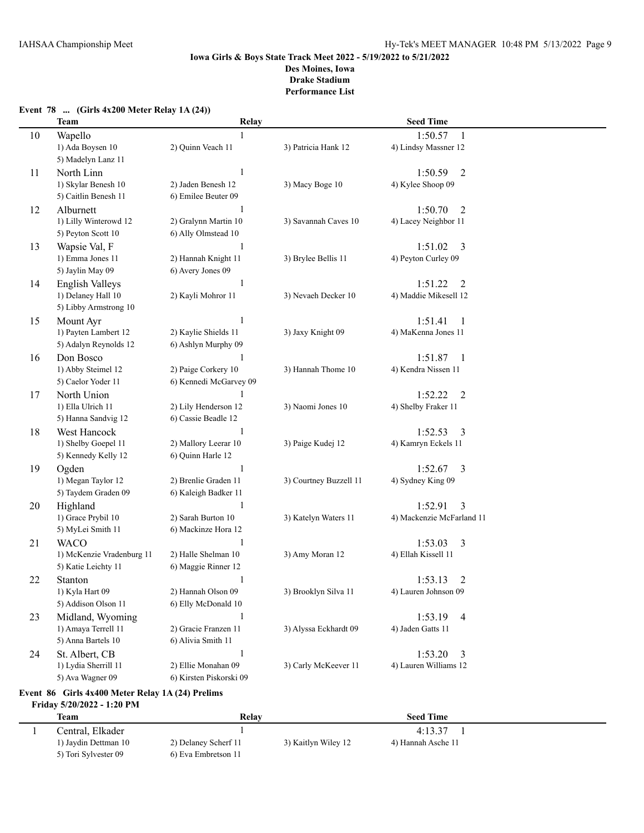# **Event 78 ... (Girls 4x200 Meter Relay 1A (24)) Team Relay Seed Time** 10 Wapello 1 1:50.57 1 1) Ada Boysen 10 2) Quinn Veach 11 3) Patricia Hank 12 4) Lindsy Massner 12 5) Madelyn Lanz 11 11 North Linn 1:50.59 2 1) Skylar Benesh 10 2) Jaden Benesh 12 3) Macy Boge 10 4) Kylee Shoop 09 5) Caitlin Benesh 11 6) Emilee Beuter 09 12 Alburnett 1 1:50.70 2 1) Lilly Winterowd 12 2) Gralynn Martin 10 3) Savannah Caves 10 4) Lacey Neighbor 11 5) Peyton Scott 10 6) Ally Olmstead 10 13 Wapsie Val, F 1:51.02 3 1) Emma Jones 11 2) Hannah Knight 11 3) Brylee Bellis 11 4) Peyton Curley 09 5) Jaylin May 09 6) Avery Jones 09 14 English Valleys 1 1 1:51.22 2 1) Delaney Hall 10 2) Kayli Mohror 11 3) Nevaeh Decker 10 4) Maddie Mikesell 12 5) Libby Armstrong 10 15 Mount Ayr 1:51.41 1 1) Payten Lambert 12 2) Kaylie Shields 11 3) Jaxy Knight 09 4) MaKenna Jones 11 5) Adalyn Reynolds 12 6) Ashlyn Murphy 09 16 Don Bosco 1 1 1:51.87 1 1) Abby Steimel 12 2) Paige Corkery 10 3) Hannah Thome 10 4) Kendra Nissen 11 5) Caelor Yoder 11 6) Kennedi McGarvey 09 17 North Union 1 1:52.22 2 1) Ella Ulrich 11 2) Lily Henderson 12 3) Naomi Jones 10 4) Shelby Fraker 11 5) Hanna Sandvig 12 6) Cassie Beadle 12 18 West Hancock 1 1 1:52.53 3 1) Shelby Goepel 11 2) Mallory Leerar 10 3) Paige Kudej 12 4) Kamryn Eckels 11 5) Kennedy Kelly 12 6) Quinn Harle 12 19 Ogden 1 1:52.67 3 1) Megan Taylor 12 2) Brenlie Graden 11 3) Courtney Buzzell 11 4) Sydney King 09 5) Taydem Graden 09 6) Kaleigh Badker 11 20 Highland 1 1 1:52.91 3 1) Grace Prybil 10 2) Sarah Burton 10 3) Katelyn Waters 11 4) Mackenzie McFarland 11 5) MyLei Smith 11 6) Mackinze Hora 12 21 WACO 1 1 2 1:53.03 3 1) McKenzie Vradenburg 11 2) Halle Shelman 10 3) Amy Moran 12 4) Ellah Kissell 11 5) Katie Leichty 11 6) Maggie Rinner 12 22 Stanton 1 1:53.13 2 1) Kyla Hart 09 2) Hannah Olson 09 3) Brooklyn Silva 11 4) Lauren Johnson 09 5) Addison Olson 11 6) Elly McDonald 10 23 Midland, Wyoming 1 1:53.19 4 1) Amaya Terrell 11 2) Gracie Franzen 11 3) Alyssa Eckhardt 09 4) Jaden Gatts 11 5) Anna Bartels 10 6) Alivia Smith 11 24 St. Albert, CB 1<br>1) Lydia Sherrill 11 2) Ellie Monahan 09 3) Carly McKeever 11 4) Lauren Williams 12 1) Lydia Sherrill 11 2) Ellie Monahan 09 3) Carly McKeever 11 4) Lauren Williams 12 5) Ava Wagner 09 6) Kirsten Piskorski 09

#### **Event 86 Girls 4x400 Meter Relay 1A (24) Prelims Friday 5/20/2022 - 1:20 PM**

| Team                 | Relav                |                     | <b>Seed Time</b>   |  |
|----------------------|----------------------|---------------------|--------------------|--|
| Central. Elkader     |                      |                     | 4:13.37            |  |
| 1) Jaydin Dettman 10 | 2) Delaney Scherf 11 | 3) Kaitlyn Wiley 12 | 4) Hannah Asche 11 |  |
| 5) Tori Sylvester 09 | 6) Eva Embretson 11  |                     |                    |  |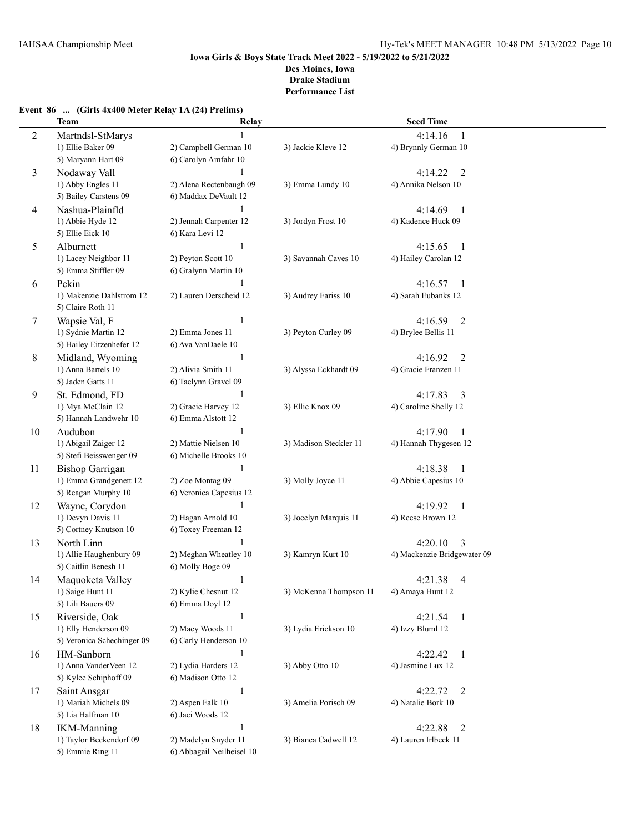# **Event 86 ... (Girls 4x400 Meter Relay 1A (24) Prelims)**

|    | <b>Team</b>                            | Relay                               |                        | <b>Seed Time</b>                 |  |
|----|----------------------------------------|-------------------------------------|------------------------|----------------------------------|--|
| 2  | Martndsl-StMarys                       |                                     |                        | 4:14.16<br>1                     |  |
|    | 1) Ellie Baker 09                      | 2) Campbell German 10               | 3) Jackie Kleve 12     | 4) Brynnly German 10             |  |
|    | 5) Maryann Hart 09                     | 6) Carolyn Amfahr 10                |                        |                                  |  |
| 3  | Nodaway Vall                           |                                     |                        | 4:14.22<br>$\overline{2}$        |  |
|    | 1) Abby Engles 11                      | 2) Alena Rectenbaugh 09             | 3) Emma Lundy 10       | 4) Annika Nelson 10              |  |
|    | 5) Bailey Carstens 09                  | 6) Maddax DeVault 12                |                        |                                  |  |
| 4  | Nashua-Plainfld                        | 1                                   |                        | 4:14.69<br>1                     |  |
|    | 1) Abbie Hyde 12                       | 2) Jennah Carpenter 12              | 3) Jordyn Frost 10     | 4) Kadence Huck 09               |  |
|    | 5) Ellie Eick 10                       | 6) Kara Levi 12                     |                        |                                  |  |
| 5  | Alburnett                              | 1                                   |                        | 4:15.65<br>$\mathbf{1}$          |  |
|    | 1) Lacey Neighbor 11                   | 2) Peyton Scott 10                  | 3) Savannah Caves 10   | 4) Hailey Carolan 12             |  |
|    | 5) Emma Stiffler 09                    | 6) Gralynn Martin 10                |                        |                                  |  |
| 6  | Pekin                                  |                                     |                        | 4:16.57<br>-1                    |  |
|    | 1) Makenzie Dahlstrom 12               | 2) Lauren Derscheid 12              | 3) Audrey Fariss 10    | 4) Sarah Eubanks 12              |  |
|    | 5) Claire Roth 11                      |                                     |                        |                                  |  |
| 7  | Wapsie Val, F                          |                                     |                        | 4:16.59<br>$\overline{2}$        |  |
|    | 1) Sydnie Martin 12                    | 2) Emma Jones 11                    | 3) Peyton Curley 09    | 4) Brylee Bellis 11              |  |
|    | 5) Hailey Eitzenhefer 12               | 6) Ava VanDaele 10                  |                        |                                  |  |
| 8  | Midland, Wyoming                       | 1                                   |                        | 4:16.92<br>2                     |  |
|    | 1) Anna Bartels 10                     | 2) Alivia Smith 11                  | 3) Alyssa Eckhardt 09  | 4) Gracie Franzen 11             |  |
|    | 5) Jaden Gatts 11                      | 6) Taelynn Gravel 09                |                        |                                  |  |
| 9  | St. Edmond, FD                         | -1                                  |                        | 4:17.83<br>3                     |  |
|    | 1) Mya McClain 12                      | 2) Gracie Harvey 12                 | 3) Ellie Knox 09       | 4) Caroline Shelly 12            |  |
|    | 5) Hannah Landwehr 10                  | 6) Emma Alstott 12                  |                        |                                  |  |
| 10 | Audubon                                | 1                                   |                        | 4:17.90<br>-1                    |  |
|    | 1) Abigail Zaiger 12                   | 2) Mattie Nielsen 10                | 3) Madison Steckler 11 | 4) Hannah Thygesen 12            |  |
|    | 5) Stefi Beisswenger 09                | 6) Michelle Brooks 10               |                        |                                  |  |
| 11 | <b>Bishop Garrigan</b>                 | 1                                   |                        | 4:18.38<br>1                     |  |
|    | 1) Emma Grandgenett 12                 | 2) Zoe Montag 09                    | 3) Molly Joyce 11      | 4) Abbie Capesius 10             |  |
|    | 5) Reagan Murphy 10                    | 6) Veronica Capesius 12             |                        |                                  |  |
| 12 | Wayne, Corydon                         | $\mathbf{1}$                        |                        | 4:19.92<br>1                     |  |
|    | 1) Devyn Davis 11                      | 2) Hagan Arnold 10                  | 3) Jocelyn Marquis 11  | 4) Reese Brown 12                |  |
|    | 5) Cortney Knutson 10                  | 6) Toxey Freeman 12                 |                        |                                  |  |
| 13 | North Linn                             |                                     |                        | 4:20.10<br>3                     |  |
|    | 1) Allie Haughenbury 09                | 2) Meghan Wheatley 10               | 3) Kamryn Kurt 10      | 4) Mackenzie Bridgewater 09      |  |
|    | 5) Caitlin Benesh 11                   | 6) Molly Boge 09                    |                        |                                  |  |
| 14 | Maquoketa Valley                       | $\mathbf{1}$<br>2) Kylie Chesnut 12 |                        | 4:21.38<br>4<br>4) Amaya Hunt 12 |  |
|    | 1) Saige Hunt 11<br>5) Lili Bauers 09  | 6) Emma Doyl 12                     | 3) McKenna Thompson 11 |                                  |  |
|    |                                        | $\mathbf{1}$                        |                        | 4:21.54                          |  |
| 15 | Riverside, Oak<br>1) Elly Henderson 09 | 2) Macy Woods 11                    | 3) Lydia Erickson 10   | $\mathbf{1}$<br>4) Izzy Bluml 12 |  |
|    | 5) Veronica Schechinger 09             | 6) Carly Henderson 10               |                        |                                  |  |
| 16 | HM-Sanborn                             | 1                                   |                        | 4:22.42<br>$\mathbf{1}$          |  |
|    | 1) Anna VanderVeen 12                  | 2) Lydia Harders 12                 | 3) Abby Otto 10        | 4) Jasmine Lux 12                |  |
|    | 5) Kylee Schiphoff 09                  | 6) Madison Otto 12                  |                        |                                  |  |
| 17 | Saint Ansgar                           | 1                                   |                        | 4:22.72<br>$\overline{2}$        |  |
|    | 1) Mariah Michels 09                   | 2) Aspen Falk 10                    | 3) Amelia Porisch 09   | 4) Natalie Bork 10               |  |
|    | 5) Lia Halfman 10                      | 6) Jaci Woods 12                    |                        |                                  |  |
| 18 | <b>IKM-Manning</b>                     | $\mathbf{1}$                        |                        | 4:22.88<br>2                     |  |
|    | 1) Taylor Beckendorf 09                | 2) Madelyn Snyder 11                | 3) Bianca Cadwell 12   | 4) Lauren Irlbeck 11             |  |
|    | 5) Emmie Ring 11                       | 6) Abbagail Neilheisel 10           |                        |                                  |  |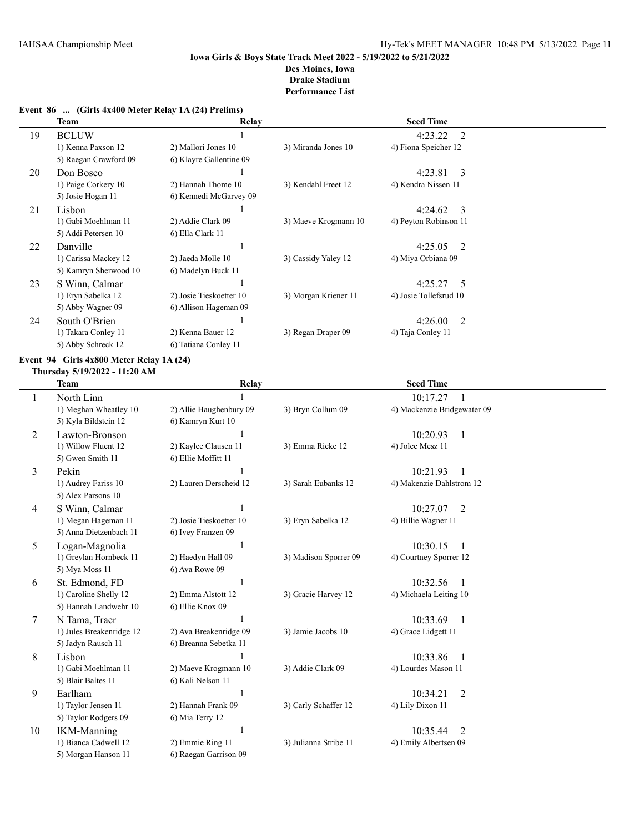# **Event 86 ... (Girls 4x400 Meter Relay 1A (24) Prelims)**

|    | <b>Team</b>           | Relay                   |                      | <b>Seed Time</b>                     |  |
|----|-----------------------|-------------------------|----------------------|--------------------------------------|--|
| 19 | <b>BCLUW</b>          |                         |                      | 4:23.22<br>2                         |  |
|    | 1) Kenna Paxson 12    | 2) Mallori Jones 10     | 3) Miranda Jones 10  | 4) Fiona Speicher 12                 |  |
|    | 5) Raegan Crawford 09 | 6) Klayre Gallentine 09 |                      |                                      |  |
| 20 | Don Bosco             |                         |                      | 4:23.81<br>$\overline{\phantom{a}3}$ |  |
|    | 1) Paige Corkery 10   | 2) Hannah Thome 10      | 3) Kendahl Freet 12  | 4) Kendra Nissen 11                  |  |
|    | 5) Josie Hogan 11     | 6) Kennedi McGarvey 09  |                      |                                      |  |
| 21 | Lisbon                |                         |                      | $4:24.62 \quad 3$                    |  |
|    | 1) Gabi Moehlman 11   | 2) Addie Clark 09       | 3) Maeve Krogmann 10 | 4) Peyton Robinson 11                |  |
|    | 5) Addi Petersen 10   | 6) Ella Clark 11        |                      |                                      |  |
| 22 | Danville              |                         |                      | $4:25.05$ 2                          |  |
|    | 1) Carissa Mackey 12  | 2) Jaeda Molle 10       | 3) Cassidy Yaley 12  | 4) Miya Orbiana 09                   |  |
|    | 5) Kamryn Sherwood 10 | 6) Madelyn Buck 11      |                      |                                      |  |
| 23 | S Winn, Calmar        |                         |                      | $4:25.27$ 5                          |  |
|    | 1) Eryn Sabelka 12    | 2) Josie Tieskoetter 10 | 3) Morgan Kriener 11 | 4) Josie Tollefsrud 10               |  |
|    | 5) Abby Wagner 09     | 6) Allison Hageman 09   |                      |                                      |  |
| 24 | South O'Brien         |                         |                      | 4:26.00<br>2                         |  |
|    | 1) Takara Conley 11   | 2) Kenna Bauer 12       | 3) Regan Draper 09   | 4) Taja Conley 11                    |  |
|    | 5) Abby Schreck 12    | 6) Tatiana Conley 11    |                      |                                      |  |

# **Event 94 Girls 4x800 Meter Relay 1A (24)**

#### **Thursday 5/19/2022 - 11:20 AM**

|    | Team                     | Relay                   |                       | <b>Seed Time</b>            |  |
|----|--------------------------|-------------------------|-----------------------|-----------------------------|--|
| 1  | North Linn               |                         |                       | 10:17.27<br>-1              |  |
|    | 1) Meghan Wheatley 10    | 2) Allie Haughenbury 09 | 3) Bryn Collum 09     | 4) Mackenzie Bridgewater 09 |  |
|    | 5) Kyla Bildstein 12     | 6) Kamryn Kurt 10       |                       |                             |  |
| 2  | Lawton-Bronson           | 1                       |                       | 10:20.93<br>$\overline{1}$  |  |
|    | 1) Willow Fluent 12      | 2) Kaylee Clausen 11    | 3) Emma Ricke 12      | 4) Jolee Mesz 11            |  |
|    | 5) Gwen Smith 11         | 6) Ellie Moffitt 11     |                       |                             |  |
| 3  | Pekin                    |                         |                       | 10:21.93<br>1               |  |
|    | 1) Audrey Fariss 10      | 2) Lauren Derscheid 12  | 3) Sarah Eubanks 12   | 4) Makenzie Dahlstrom 12    |  |
|    | 5) Alex Parsons 10       |                         |                       |                             |  |
| 4  | S Winn, Calmar           |                         |                       | 10:27.07<br>2               |  |
|    | 1) Megan Hageman 11      | 2) Josie Tieskoetter 10 | 3) Eryn Sabelka 12    | 4) Billie Wagner 11         |  |
|    | 5) Anna Dietzenbach 11   | 6) Ivey Franzen 09      |                       |                             |  |
| 5  | Logan-Magnolia           | 1                       |                       | 10:30.15<br>$\overline{1}$  |  |
|    | 1) Greylan Hornbeck 11   | 2) Haedyn Hall 09       | 3) Madison Sporrer 09 | 4) Courtney Sporrer 12      |  |
|    | 5) Mya Moss 11           | 6) Ava Rowe 09          |                       |                             |  |
| 6  | St. Edmond, FD           | 1                       |                       | 10:32.56<br>$\overline{1}$  |  |
|    | 1) Caroline Shelly 12    | 2) Emma Alstott 12      | 3) Gracie Harvey 12   | 4) Michaela Leiting 10      |  |
|    | 5) Hannah Landwehr 10    | 6) Ellie Knox 09        |                       |                             |  |
| 7  | N Tama, Traer            |                         |                       | 10:33.69<br>$\overline{1}$  |  |
|    | 1) Jules Breakenridge 12 | 2) Ava Breakenridge 09  | 3) Jamie Jacobs 10    | 4) Grace Lidgett 11         |  |
|    | 5) Jadyn Rausch 11       | 6) Breanna Sebetka 11   |                       |                             |  |
| 8  | Lisbon                   |                         |                       | 10:33.86<br>$\overline{1}$  |  |
|    | 1) Gabi Moehlman 11      | 2) Maeve Krogmann 10    | 3) Addie Clark 09     | 4) Lourdes Mason 11         |  |
|    | 5) Blair Baltes 11       | 6) Kali Nelson 11       |                       |                             |  |
| 9  | Earlham                  |                         |                       | $\overline{2}$<br>10:34.21  |  |
|    | 1) Taylor Jensen 11      | 2) Hannah Frank 09      | 3) Carly Schaffer 12  | 4) Lily Dixon 11            |  |
|    | 5) Taylor Rodgers 09     | 6) Mia Terry 12         |                       |                             |  |
| 10 | <b>IKM-Manning</b>       | 1                       |                       | $\overline{2}$<br>10:35.44  |  |
|    | 1) Bianca Cadwell 12     | 2) Emmie Ring 11        | 3) Julianna Stribe 11 | 4) Emily Albertsen 09       |  |
|    | 5) Morgan Hanson 11      | 6) Raegan Garrison 09   |                       |                             |  |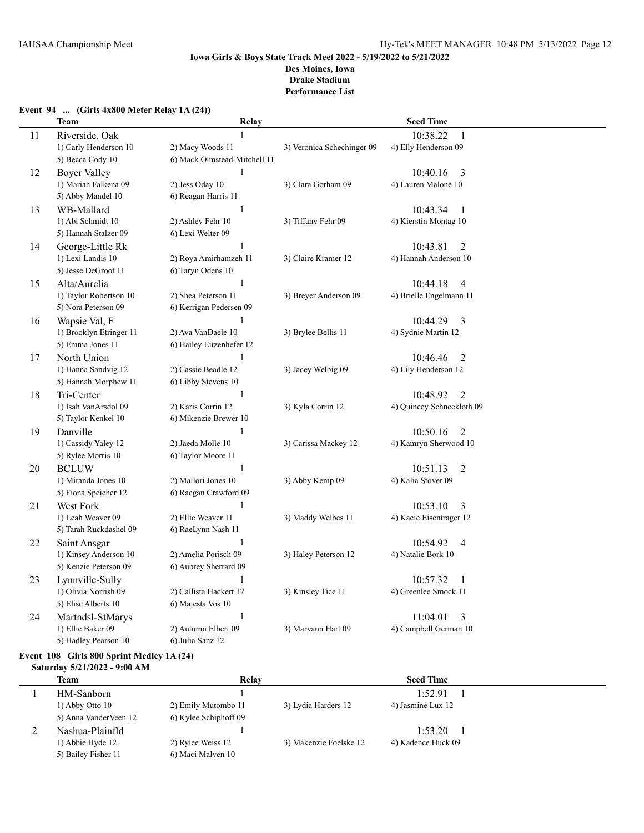# **Event 94 ... (Girls 4x800 Meter Relay 1A (24))**

|    | <b>Team</b>             | Relay                        |                            | <b>Seed Time</b>           |
|----|-------------------------|------------------------------|----------------------------|----------------------------|
| 11 | Riverside, Oak          | $\mathbf{1}$                 |                            | 10:38.22<br>$\mathbf{1}$   |
|    | 1) Carly Henderson 10   | 2) Macy Woods 11             | 3) Veronica Schechinger 09 | 4) Elly Henderson 09       |
|    | 5) Becca Cody 10        | 6) Mack Olmstead-Mitchell 11 |                            |                            |
| 12 | <b>Boyer Valley</b>     | $\mathbf{1}$                 |                            | 10:40.16<br>3              |
|    | 1) Mariah Falkena 09    | 2) Jess Oday 10              | 3) Clara Gorham 09         | 4) Lauren Malone 10        |
|    | 5) Abby Mandel 10       | 6) Reagan Harris 11          |                            |                            |
| 13 | WB-Mallard              | $\mathbf{1}$                 |                            | 10:43.34<br>-1             |
|    | 1) Abi Schmidt 10       | 2) Ashley Fehr 10            | 3) Tiffany Fehr 09         | 4) Kierstin Montag 10      |
|    | 5) Hannah Stalzer 09    | 6) Lexi Welter 09            |                            |                            |
| 14 | George-Little Rk        | $\mathbf{1}$                 |                            | 10:43.81<br>2              |
|    | 1) Lexi Landis 10       | 2) Roya Amirhamzeh 11        | 3) Claire Kramer 12        | 4) Hannah Anderson 10      |
|    | 5) Jesse DeGroot 11     | 6) Taryn Odens 10            |                            |                            |
| 15 | Alta/Aurelia            | 1                            |                            | 10:44.18<br>4              |
|    | 1) Taylor Robertson 10  | 2) Shea Peterson 11          | 3) Breyer Anderson 09      | 4) Brielle Engelmann 11    |
|    | 5) Nora Peterson 09     | 6) Kerrigan Pedersen 09      |                            |                            |
| 16 | Wapsie Val, F           | 1                            |                            | 10:44.29<br>3              |
|    | 1) Brooklyn Etringer 11 | 2) Ava VanDaele 10           | 3) Brylee Bellis 11        | 4) Sydnie Martin 12        |
|    | 5) Emma Jones 11        | 6) Hailey Eitzenhefer 12     |                            |                            |
| 17 | North Union             | $\mathbf{1}$                 |                            | 10:46.46<br>2              |
|    | 1) Hanna Sandvig 12     | 2) Cassie Beadle 12          | 3) Jacey Welbig 09         | 4) Lily Henderson 12       |
|    | 5) Hannah Morphew 11    | 6) Libby Stevens 10          |                            |                            |
| 18 | Tri-Center              | $\mathbf{1}$                 |                            | $\overline{2}$<br>10:48.92 |
|    | 1) Isah VanArsdol 09    | 2) Karis Corrin 12           | 3) Kyla Corrin 12          | 4) Quincey Schneckloth 09  |
|    | 5) Taylor Kenkel 10     | 6) Mikenzie Brewer 10        |                            |                            |
| 19 | Danville                | 1                            |                            | 10:50.16<br>$\overline{2}$ |
|    | 1) Cassidy Yaley 12     | 2) Jaeda Molle 10            | 3) Carissa Mackey 12       | 4) Kamryn Sherwood 10      |
|    | 5) Rylee Morris 10      | 6) Taylor Moore 11           |                            |                            |
| 20 | <b>BCLUW</b>            | $\mathbf{1}$                 |                            | 10:51.13<br>$\overline{2}$ |
|    | 1) Miranda Jones 10     | 2) Mallori Jones 10          | 3) Abby Kemp 09            | 4) Kalia Stover 09         |
|    | 5) Fiona Speicher 12    | 6) Raegan Crawford 09        |                            |                            |
| 21 | West Fork               | 1                            |                            | 10:53.10<br>3              |
|    | 1) Leah Weaver 09       | 2) Ellie Weaver 11           | 3) Maddy Welbes 11         | 4) Kacie Eisentrager 12    |
|    | 5) Tarah Ruckdashel 09  | 6) RaeLynn Nash 11           |                            |                            |
| 22 | Saint Ansgar            | $\,1\,$                      |                            | 10:54.92<br>$\overline{4}$ |
|    | 1) Kinsey Anderson 10   | 2) Amelia Porisch 09         | 3) Haley Peterson 12       | 4) Natalie Bork 10         |
|    | 5) Kenzie Peterson 09   | 6) Aubrey Sherrard 09        |                            |                            |
| 23 | Lynnville-Sully         | 1                            |                            | 10:57.32<br>1              |
|    | 1) Olivia Norrish 09    | 2) Callista Hackert 12       | 3) Kinsley Tice 11         | 4) Greenlee Smock 11       |
|    | 5) Elise Alberts 10     | 6) Majesta Vos 10            |                            |                            |
| 24 | Martndsl-StMarys        | $\mathbf{1}$                 |                            | 11:04.01<br>3              |
|    | 1) Ellie Baker 09       | 2) Autumn Elbert 09          | 3) Maryann Hart 09         | 4) Campbell German 10      |
|    | 5) Hadley Pearson 10    | 6) Julia Sanz 12             |                            |                            |

# **Event 108 Girls 800 Sprint Medley 1A (24)**

# **Saturday 5/21/2022 - 9:00 AM**

| <b>Team</b>           | Relay                 |                        | <b>Seed Time</b>   |  |
|-----------------------|-----------------------|------------------------|--------------------|--|
| HM-Sanborn            |                       |                        | 1:52.91            |  |
| $1)$ Abby Otto $10$   | 2) Emily Mutombo 11   | 3) Lydia Harders 12    | 4) Jasmine Lux 12  |  |
| 5) Anna VanderVeen 12 | 6) Kylee Schiphoff 09 |                        |                    |  |
| Nashua-Plainfld       |                       |                        | 1:53.20            |  |
| 1) Abbie Hyde 12      | 2) Rylee Weiss 12     | 3) Makenzie Foelske 12 | 4) Kadence Huck 09 |  |
| 5) Bailey Fisher 11   | 6) Maci Malven 10     |                        |                    |  |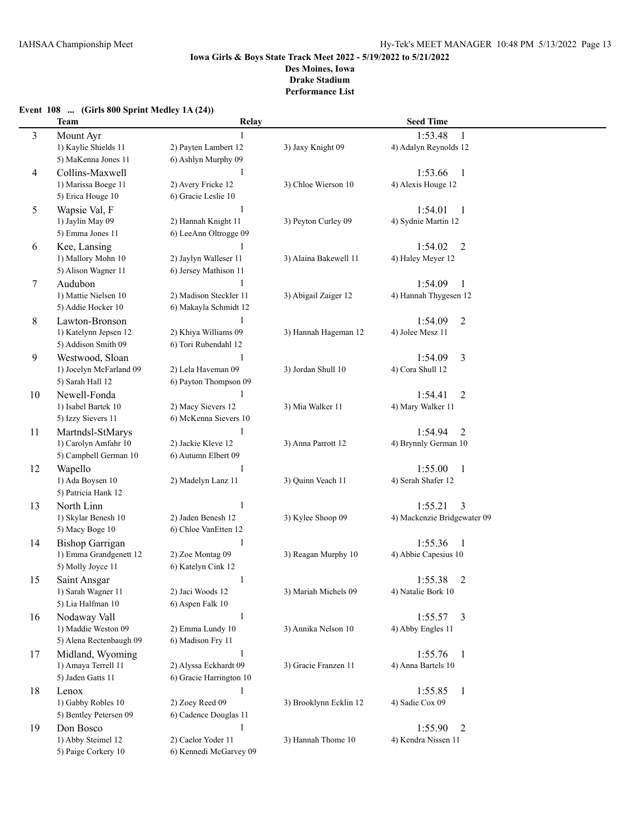# **Event 108 ... (Girls 800 Sprint Medley 1A (24)) Relay Seed Time**<br>**Relay Seed Time**<br>**Relay Seed Time**

| 3              | Mount Ayr               | 1                       |                        | 1:53.48<br>$\mathbf{1}$     |  |
|----------------|-------------------------|-------------------------|------------------------|-----------------------------|--|
|                | 1) Kaylie Shields 11    | 2) Payten Lambert 12    | 3) Jaxy Knight 09      | 4) Adalyn Reynolds 12       |  |
|                | 5) MaKenna Jones 11     | 6) Ashlyn Murphy 09     |                        |                             |  |
| $\overline{4}$ | Collins-Maxwell         | $\mathbf{1}$            |                        | 1:53.66<br>$\mathbf{1}$     |  |
|                | 1) Marissa Boege 11     | 2) Avery Fricke 12      | 3) Chloe Wierson 10    | 4) Alexis Houge 12          |  |
|                | 5) Erica Houge 10       | 6) Gracie Leslie 10     |                        |                             |  |
|                |                         |                         |                        |                             |  |
| 5              | Wapsie Val, F           | $\mathbf{1}$            |                        | 1:54.01<br>-1               |  |
|                | 1) Jaylin May 09        | 2) Hannah Knight 11     | 3) Peyton Curley 09    | 4) Sydnie Martin 12         |  |
|                | 5) Emma Jones 11        | 6) LeeAnn Oltrogge 09   |                        |                             |  |
| 6              | Kee, Lansing            |                         |                        | 1:54.02<br>$\overline{2}$   |  |
|                | 1) Mallory Mohn 10      | 2) Jaylyn Walleser 11   | 3) Alaina Bakewell 11  | 4) Haley Meyer 12           |  |
|                | 5) Alison Wagner 11     | 6) Jersey Mathison 11   |                        |                             |  |
| 7              | Audubon                 | 1                       |                        | 1:54.09<br>1                |  |
|                | 1) Mattie Nielsen 10    | 2) Madison Steckler 11  | 3) Abigail Zaiger 12   | 4) Hannah Thygesen 12       |  |
|                | 5) Addie Hocker 10      | 6) Makayla Schmidt 12   |                        |                             |  |
| 8              | Lawton-Bronson          | 1                       |                        | 1:54.09<br>$\overline{2}$   |  |
|                | 1) Katelynn Jepsen 12   | 2) Khiya Williams 09    | 3) Hannah Hageman 12   | 4) Jolee Mesz 11            |  |
|                | 5) Addison Smith 09     | 6) Tori Rubendahl 12    |                        |                             |  |
|                |                         | 1                       |                        | $\overline{3}$              |  |
| 9              | Westwood, Sloan         |                         |                        | 1:54.09                     |  |
|                | 1) Jocelyn McFarland 09 | 2) Lela Haveman 09      | 3) Jordan Shull 10     | 4) Cora Shull 12            |  |
|                | 5) Sarah Hall 12        | 6) Payton Thompson 09   |                        |                             |  |
| 10             | Newell-Fonda            | 1                       |                        | 1:54.41<br>$\overline{2}$   |  |
|                | 1) Isabel Bartek 10     | 2) Macy Sievers 12      | 3) Mia Walker 11       | 4) Mary Walker 11           |  |
|                | 5) Izzy Sievers 11      | 6) McKenna Sievers 10   |                        |                             |  |
| 11             | Martndsl-StMarys        |                         |                        | 1:54.94<br>$\overline{2}$   |  |
|                | 1) Carolyn Amfahr 10    | 2) Jackie Kleve 12      | 3) Anna Parrott 12     | 4) Brynnly German 10        |  |
|                | 5) Campbell German 10   | 6) Autumn Elbert 09     |                        |                             |  |
| 12             | Wapello                 |                         |                        | 1:55.00<br>1                |  |
|                | 1) Ada Boysen 10        | 2) Madelyn Lanz 11      | 3) Quinn Veach 11      | 4) Serah Shafer 12          |  |
|                | 5) Patricia Hank 12     |                         |                        |                             |  |
| 13             | North Linn              | $\mathbf{1}$            |                        | 1:55.21<br>3                |  |
|                | 1) Skylar Benesh 10     | 2) Jaden Benesh 12      | 3) Kylee Shoop 09      | 4) Mackenzie Bridgewater 09 |  |
|                | 5) Macy Boge 10         | 6) Chloe VanEtten 12    |                        |                             |  |
|                |                         |                         |                        |                             |  |
| 14             | <b>Bishop Garrigan</b>  | $\mathbf{1}$            |                        | 1:55.36<br>-1               |  |
|                | 1) Emma Grandgenett 12  | 2) Zoe Montag 09        | 3) Reagan Murphy 10    | 4) Abbie Capesius 10        |  |
|                | 5) Molly Joyce 11       | 6) Katelyn Cink 12      |                        |                             |  |
| 15             | Saint Ansgar            | $\mathbf{1}$            |                        | $\overline{2}$<br>1:55.38   |  |
|                | 1) Sarah Wagner 11      | 2) Jaci Woods 12        | 3) Mariah Michels 09   | 4) Natalie Bork 10          |  |
|                | 5) Lia Halfman 10       | 6) Aspen Falk 10        |                        |                             |  |
| 16             | Nodaway Vall            | $\,1\,$                 |                        | 1:55.57<br>$\overline{3}$   |  |
|                | 1) Maddie Weston 09     | 2) Emma Lundy 10        | 3) Annika Nelson 10    | 4) Abby Engles 11           |  |
|                | 5) Alena Rectenbaugh 09 | 6) Madison Fry 11       |                        |                             |  |
| 17             | Midland, Wyoming        | 1                       |                        | 1:55.76<br>$\mathbf{1}$     |  |
|                | 1) Amaya Terrell 11     | 2) Alyssa Eckhardt 09   | 3) Gracie Franzen 11   | 4) Anna Bartels 10          |  |
|                | 5) Jaden Gatts 11       | 6) Gracie Harrington 10 |                        |                             |  |
|                |                         |                         |                        |                             |  |
| 18             | Lenox                   | 1                       |                        | 1:55.85<br>-1               |  |
|                | 1) Gabby Robles 10      | 2) Zoey Reed 09         | 3) Brooklynn Ecklin 12 | 4) Sadie Cox 09             |  |
|                | 5) Bentley Petersen 09  | 6) Cadence Douglas 11   |                        |                             |  |
| 19             | Don Bosco               |                         |                        | 1:55.90<br>$\overline{2}$   |  |
|                | 1) Abby Steimel 12      | 2) Caelor Yoder 11      | 3) Hannah Thome 10     | 4) Kendra Nissen 11         |  |
|                | 5) Paige Corkery 10     | 6) Kennedi McGarvey 09  |                        |                             |  |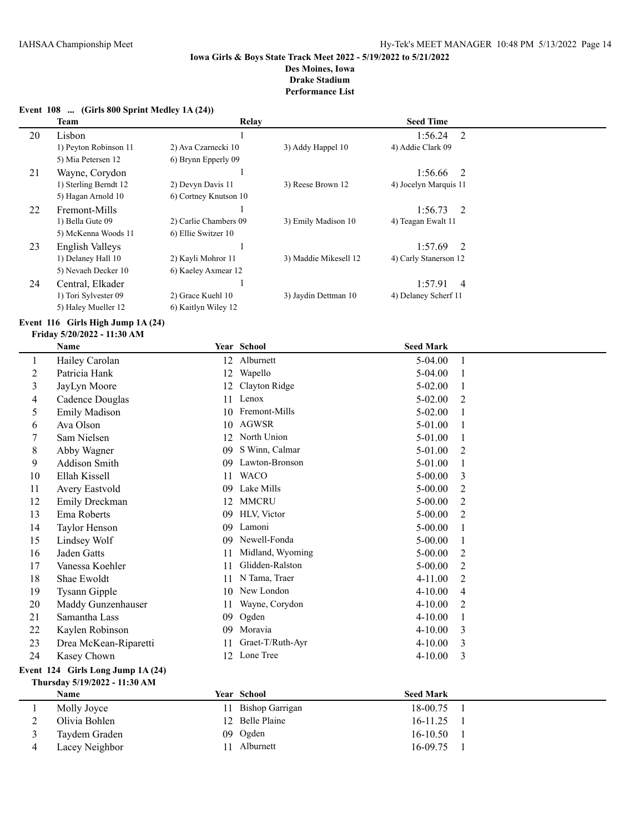#### **Event 108 ... (Girls 800 Sprint Medley 1A (24))**

|    | Team                  | Relay                 |                       | <b>Seed Time</b>          |  |
|----|-----------------------|-----------------------|-----------------------|---------------------------|--|
| 20 | Lisbon                |                       |                       | 1:56.24<br>-2             |  |
|    | 1) Peyton Robinson 11 | 2) Ava Czarnecki 10   | 3) Addy Happel 10     | 4) Addie Clark 09         |  |
|    | 5) Mia Petersen 12    | 6) Brynn Epperly 09   |                       |                           |  |
| 21 | Wayne, Corydon        |                       |                       | $1:56.66$ 2               |  |
|    | 1) Sterling Berndt 12 | 2) Devyn Davis 11     | 3) Reese Brown 12     | 4) Jocelyn Marquis 11     |  |
|    | 5) Hagan Arnold 10    | 6) Cortney Knutson 10 |                       |                           |  |
| 22 | Fremont-Mills         |                       |                       | $1:56.73$ 2               |  |
|    | 1) Bella Gute 09      | 2) Carlie Chambers 09 | 3) Emily Madison 10   | 4) Teagan Ewalt 11        |  |
|    | 5) McKenna Woods 11   | 6) Ellie Switzer 10   |                       |                           |  |
| 23 | English Valleys       |                       |                       | $1:57.69$ 2               |  |
|    | 1) Delaney Hall 10    | 2) Kayli Mohror 11    | 3) Maddie Mikesell 12 | 4) Carly Stanerson 12     |  |
|    | 5) Nevaeh Decker 10   | 6) Kaeley Axmear 12   |                       |                           |  |
| 24 | Central, Elkader      |                       |                       | 1:57.91<br>$\overline{4}$ |  |
|    | 1) Tori Sylvester 09  | 2) Grace Kuehl 10     | 3) Jaydin Dettman 10  | 4) Delaney Scherf 11      |  |
|    | 5) Haley Mueller 12   | 6) Kaitlyn Wiley 12   |                       |                           |  |

# **Event 116 Girls High Jump 1A (24)**

# **Friday 5/20/2022 - 11:30 AM**

|                                   | <b>Name</b>           |    | Year School            | <b>Seed Mark</b> |                |
|-----------------------------------|-----------------------|----|------------------------|------------------|----------------|
| 1                                 | Hailey Carolan        | 12 | Alburnett              | 5-04.00          | 1              |
| $\overline{c}$                    | Patricia Hank         | 12 | Wapello                | $5-04.00$        |                |
| 3                                 | JayLyn Moore          | 12 | Clayton Ridge          | $5 - 02.00$      | 1              |
| 4                                 | Cadence Douglas       | 11 | Lenox                  | $5 - 02.00$      | $\overline{2}$ |
| 5                                 | <b>Emily Madison</b>  | 10 | Fremont-Mills          | $5 - 02.00$      | 1              |
| 6                                 | Ava Olson             | 10 | <b>AGWSR</b>           | 5-01.00          | 1              |
| 7                                 | Sam Nielsen           | 12 | North Union            | 5-01.00          | 1              |
| 8                                 | Abby Wagner           | 09 | S Winn, Calmar         | 5-01.00          | $\overline{2}$ |
| 9                                 | Addison Smith         | 09 | Lawton-Bronson         | 5-01.00          | 1              |
| 10                                | Ellah Kissell         | 11 | <b>WACO</b>            | $5 - 00.00$      | 3              |
| 11                                | Avery Eastvold        | 09 | Lake Mills             | $5 - 00.00$      | $\overline{2}$ |
| 12                                | Emily Dreckman        | 12 | <b>MMCRU</b>           | $5 - 00.00$      | 2              |
| 13                                | Ema Roberts           | 09 | HLV, Victor            | $5 - 00.00$      | 2              |
| 14                                | Taylor Henson         | 09 | Lamoni                 | $5 - 00.00$      | 1              |
| 15                                | Lindsey Wolf          | 09 | Newell-Fonda           | $5 - 00.00$      | 1              |
| 16                                | Jaden Gatts           | 11 | Midland, Wyoming       | $5 - 00.00$      | $\overline{2}$ |
| 17                                | Vanessa Koehler       | 11 | Glidden-Ralston        | $5 - 00.00$      | $\overline{2}$ |
| 18                                | Shae Ewoldt           | 11 | N Tama, Traer          | 4-11.00          | $\overline{2}$ |
| 19                                | <b>Tysann Gipple</b>  | 10 | New London             | $4 - 10.00$      | $\overline{4}$ |
| 20                                | Maddy Gunzenhauser    | 11 | Wayne, Corydon         | $4 - 10.00$      | $\overline{2}$ |
| 21                                | Samantha Lass         | 09 | Ogden                  | 4-10.00          | 1              |
| 22                                | Kaylen Robinson       | 09 | Moravia                | $4 - 10.00$      | 3              |
| 23                                | Drea McKean-Riparetti | 11 | Graet-T/Ruth-Ayr       | $4 - 10.00$      | 3              |
| 24                                | Kasey Chown           |    | 12 Lone Tree           | 4-10.00          | 3              |
| Event 124 Girls Long Jump 1A (24) |                       |    |                        |                  |                |
| Thursday 5/19/2022 - 11:30 AM     |                       |    |                        |                  |                |
|                                   | Name                  |    | Year School            | <b>Seed Mark</b> |                |
| 1                                 | Molly Joyce           | 11 | <b>Bishop Garrigan</b> | 18-00.75         | 1              |
| $\overline{c}$                    | Olivia Bohlen         | 12 | Belle Plaine           | 16-11.25         | 1              |
| 3                                 | Taydem Graden         | 09 | Ogden                  | 16-10.50         |                |
| 4                                 | Lacey Neighbor        |    | 11 Alburnett           | 16-09.75         | 1              |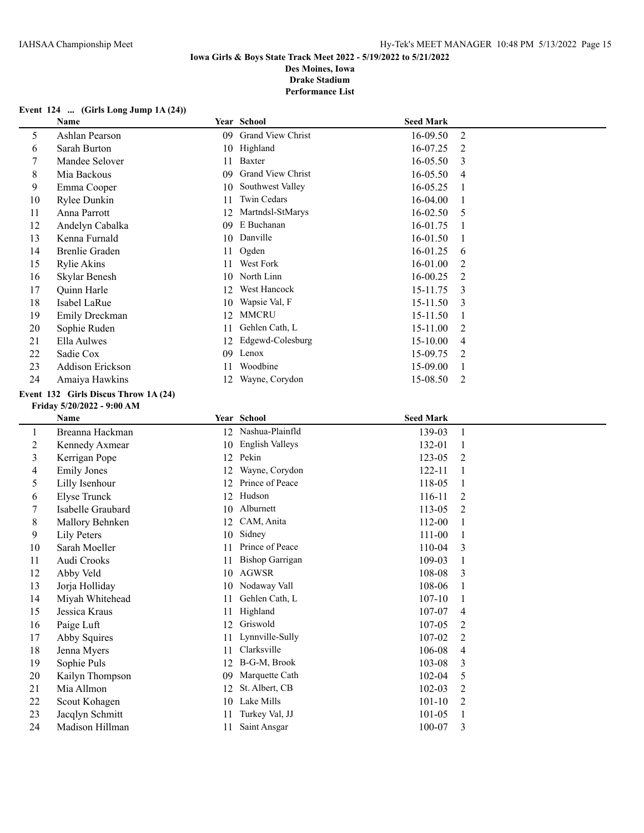**Performance List**

# **Event 124 ... (Girls Long Jump 1A (24))**

|                  | Name                                 |    | Year School              | <b>Seed Mark</b> |                |
|------------------|--------------------------------------|----|--------------------------|------------------|----------------|
| 5                | Ashlan Pearson                       |    | 09 Grand View Christ     | 16-09.50         | $\overline{2}$ |
| 6                | Sarah Burton                         |    | 10 Highland              | 16-07.25         | $\overline{2}$ |
| $\boldsymbol{7}$ | Mandee Selover                       |    | 11 Baxter                | 16-05.50         | 3              |
| 8                | Mia Backous                          | 09 | <b>Grand View Christ</b> | 16-05.50         | 4              |
| 9                | Emma Cooper                          | 10 | Southwest Valley         | 16-05.25         | 1              |
| 10               | Rylee Dunkin                         | 11 | Twin Cedars              | 16-04.00         | 1              |
| 11               | Anna Parrott                         |    | 12 Martndsl-StMarys      | 16-02.50         | 5              |
| 12               | Andelyn Cabalka                      | 09 | E Buchanan               | 16-01.75         | 1              |
| 13               | Kenna Furnald                        |    | 10 Danville              | 16-01.50         | 1              |
| 14               | <b>Brenlie Graden</b>                | 11 | Ogden                    | 16-01.25         | 6              |
| 15               | <b>Rylie Akins</b>                   | 11 | West Fork                | 16-01.00         | $\overline{c}$ |
| 16               | Skylar Benesh                        | 10 | North Linn               | 16-00.25         | $\overline{2}$ |
| 17               | Quinn Harle                          | 12 | West Hancock             | 15-11.75         | 3              |
| 18               | Isabel LaRue                         | 10 | Wapsie Val, F            | 15-11.50         | 3              |
| 19               | Emily Dreckman                       | 12 | <b>MMCRU</b>             | 15-11.50         | $\mathbf{1}$   |
| 20               | Sophie Ruden                         | 11 | Gehlen Cath, L           | 15-11.00         | $\overline{c}$ |
| 21               | Ella Aulwes                          | 12 | Edgewd-Colesburg         | 15-10.00         | 4              |
| 22               | Sadie Cox                            |    | 09 Lenox                 | 15-09.75         | 2              |
| 23               | Addison Erickson                     | 11 | Woodbine                 | 15-09.00         | $\mathbf{1}$   |
| 24               | Amaiya Hawkins                       |    | 12 Wayne, Corydon        | 15-08.50         | $\overline{2}$ |
|                  | Event 132 Girls Discus Throw 1A (24) |    |                          |                  |                |
|                  | Friday 5/20/2022 - 9:00 AM           |    |                          |                  |                |
|                  | Name                                 |    | Year School              | <b>Seed Mark</b> |                |
| $\mathbf{1}$     | Breanna Hackman                      |    | 12 Nashua-Plainfld       | 139-03           | $\mathbf{1}$   |
| $\overline{2}$   | Kennedy Axmear                       |    | 10 English Valleys       | 132-01           | $\mathbf{1}$   |
| 3                | Kerrigan Pope                        |    | 12 Pekin                 | 123-05           | 2              |
| 4                | <b>Emily Jones</b>                   | 12 | Wayne, Corydon           | 122-11           | $\mathbf{1}$   |
| 5                | Lilly Isenhour                       |    | 12 Prince of Peace       | 118-05           | 1              |
| 6                | <b>Elyse Trunck</b>                  |    | 12 Hudson                | 116-11           | $\overline{2}$ |
| 7                | Isabelle Graubard                    |    | 10 Alburnett             | 113-05           | $\overline{2}$ |
| 8                | Mallory Behnken                      |    | 12 CAM, Anita            | 112-00           | $\mathbf{1}$   |
| 9                | <b>Lily Peters</b>                   | 10 | Sidney                   | 111-00           | 1              |
| $10\,$           | Sarah Moeller                        | 11 | Prince of Peace          | 110-04           | 3              |
| 11               | Audi Crooks                          | 11 | <b>Bishop Garrigan</b>   | 109-03           | 1              |
| 12               | Abby Veld                            |    | 10 AGWSR                 | 108-08           | 3              |
| 13               | Jorja Holliday                       |    | 10 Nodaway Vall          | 108-06           | 1              |
| 14               | Miyah Whitehead                      | 11 | Gehlen Cath, L           | $107 - 10$       | 1              |
| 15               | Jessica Kraus                        | 11 | Highland                 | 107-07           | 4              |
| 16               | Paige Luft                           | 12 | Griswold                 | 107-05           | 2              |
| 17               | Abby Squires                         | 11 | Lynnville-Sully          | 107-02           | 2              |
| 18               | Jenna Myers                          | 11 | Clarksville              | 106-08           | 4              |
| 19               | Sophie Puls                          |    | 12 B-G-M, Brook          | 103-08           | 3              |
| 20               | Kailyn Thompson                      | 09 | Marquette Cath           | 102-04           | 5              |
| 21               | Mia Allmon                           | 12 | St. Albert, CB           | 102-03           | $\overline{c}$ |
| 22               | Scout Kohagen                        |    | 10 Lake Mills            | $101 - 10$       | 2              |
| 23               | Jacqlyn Schmitt                      | 11 | Turkey Val, JJ           | $101 - 05$       | 1              |
| 24               | Madison Hillman                      | 11 | Saint Ansgar             | 100-07           | 3              |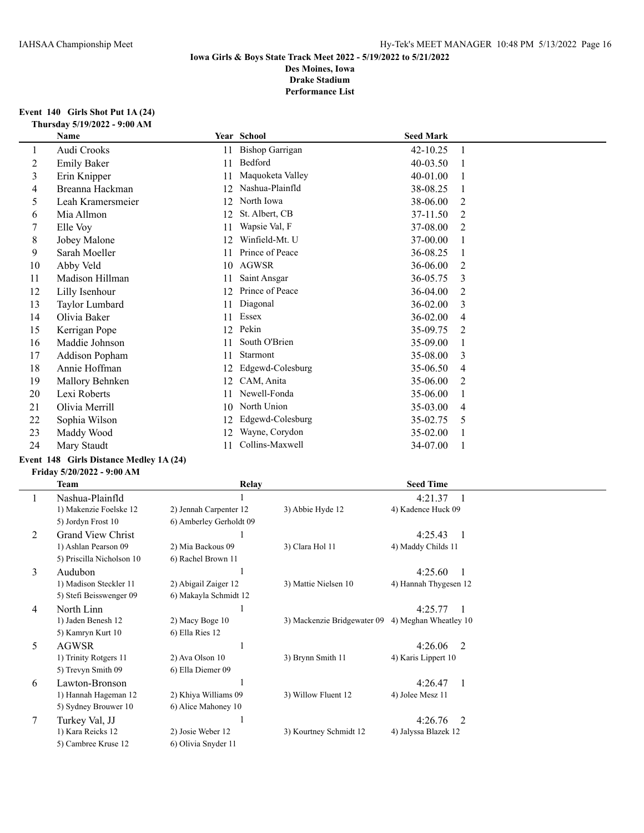#### **Event 140 Girls Shot Put 1A (24) Thursday 5/19/2022 - 9:00 AM**

| Name               |    |                  |                                                         |                  |
|--------------------|----|------------------|---------------------------------------------------------|------------------|
| Audi Crooks        | 11 |                  | 42-10.25                                                |                  |
| <b>Emily Baker</b> | 11 | Bedford          | 40-03.50                                                |                  |
| Erin Knipper       | 11 | Maquoketa Valley | 40-01.00                                                |                  |
| Breanna Hackman    | 12 | Nashua-Plainfld  | 38-08.25                                                |                  |
| Leah Kramersmeier  | 12 | North Iowa       | 38-06.00                                                | 2                |
| Mia Allmon         | 12 | St. Albert, CB   | 37-11.50                                                | 2                |
| Elle Voy           | 11 | Wapsie Val, F    | 37-08.00                                                | 2                |
| Jobey Malone       | 12 | Winfield-Mt. U   | 37-00.00                                                |                  |
| Sarah Moeller      | 11 | Prince of Peace  | 36-08.25                                                |                  |
| Abby Veld          | 10 | <b>AGWSR</b>     | 36-06.00                                                | 2                |
| Madison Hillman    | 11 | Saint Ansgar     | 36-05.75                                                | 3                |
| Lilly Isenhour     | 12 | Prince of Peace  | 36-04.00                                                | 2                |
| Taylor Lumbard     | 11 | Diagonal         | 36-02.00                                                | 3                |
| Olivia Baker       | 11 |                  | 36-02.00                                                | 4                |
| Kerrigan Pope      | 12 |                  | 35-09.75                                                | 2                |
| Maddie Johnson     | 11 | South O'Brien    | 35-09.00                                                |                  |
| Addison Popham     | 11 | Starmont         | 35-08.00                                                | 3                |
| Annie Hoffman      | 12 | Edgewd-Colesburg | 35-06.50                                                | 4                |
| Mallory Behnken    | 12 | CAM, Anita       | 35-06.00                                                | 2                |
| Lexi Roberts       | 11 | Newell-Fonda     | 35-06.00                                                |                  |
| Olivia Merrill     | 10 | North Union      | 35-03.00                                                | 4                |
| Sophia Wilson      | 12 | Edgewd-Colesburg | 35-02.75                                                | 5                |
| Maddy Wood         | 12 | Wayne, Corydon   | 35-02.00                                                |                  |
| Mary Staudt        | 11 | Collins-Maxwell  | 34-07.00                                                |                  |
|                    |    |                  | Year School<br><b>Bishop Garrigan</b><br>Essex<br>Pekin | <b>Seed Mark</b> |

# **Event 148 Girls Distance Medley 1A (24)**

# **Friday 5/20/2022 - 9:00 AM**

|        | Team                      | <b>Relay</b>            |                                                   | <b>Seed Time</b>                    |  |
|--------|---------------------------|-------------------------|---------------------------------------------------|-------------------------------------|--|
|        | Nashua-Plainfld           |                         |                                                   | 4:21.37                             |  |
|        | 1) Makenzie Foelske 12    | 2) Jennah Carpenter 12  | 3) Abbie Hyde 12                                  | 4) Kadence Huck 09                  |  |
|        | 5) Jordyn Frost 10        | 6) Amberley Gerholdt 09 |                                                   |                                     |  |
| 2      | <b>Grand View Christ</b>  |                         |                                                   | 4:25.43<br>$\overline{\phantom{a}}$ |  |
|        | 1) Ashlan Pearson 09      | 2) Mia Backous 09       | 3) Clara Hol 11                                   | 4) Maddy Childs 11                  |  |
|        | 5) Priscilla Nicholson 10 | 6) Rachel Brown 11      |                                                   |                                     |  |
| 3      | Audubon                   |                         |                                                   | 4:25.60                             |  |
|        | 1) Madison Steckler 11    | 2) Abigail Zaiger 12    | 3) Mattie Nielsen 10                              | 4) Hannah Thygesen 12               |  |
|        | 5) Stefi Beisswenger 09   | 6) Makayla Schmidt 12   |                                                   |                                     |  |
| 4      | North Linn                |                         |                                                   | 4:25.77                             |  |
|        | 1) Jaden Benesh 12        | 2) Macy Boge 10         | 3) Mackenzie Bridgewater 09 4) Meghan Wheatley 10 |                                     |  |
|        | 5) Kamryn Kurt 10         | 6) Ella Ries 12         |                                                   |                                     |  |
| 5      | <b>AGWSR</b>              |                         |                                                   | 4:26.06<br>2                        |  |
|        | 1) Trinity Rotgers 11     | 2) Ava Olson 10         | 3) Brynn Smith 11                                 | 4) Karis Lippert 10                 |  |
|        | 5) Trevyn Smith 09        | 6) Ella Diemer 09       |                                                   |                                     |  |
| 6      | Lawton-Bronson            |                         |                                                   | 4:26.47<br>-1                       |  |
|        | 1) Hannah Hageman 12      | 2) Khiya Williams 09    | 3) Willow Fluent 12                               | 4) Jolee Mesz 11                    |  |
|        | 5) Sydney Brouwer 10      | 6) Alice Mahoney 10     |                                                   |                                     |  |
| $\tau$ | Turkey Val, JJ            |                         |                                                   | 4:26.76<br>$\mathcal{L}$            |  |
|        | 1) Kara Reicks 12         | 2) Josie Weber 12       | 3) Kourtney Schmidt 12                            | 4) Jalyssa Blazek 12                |  |
|        | 5) Cambree Kruse 12       | 6) Olivia Snyder 11     |                                                   |                                     |  |
|        |                           |                         |                                                   |                                     |  |